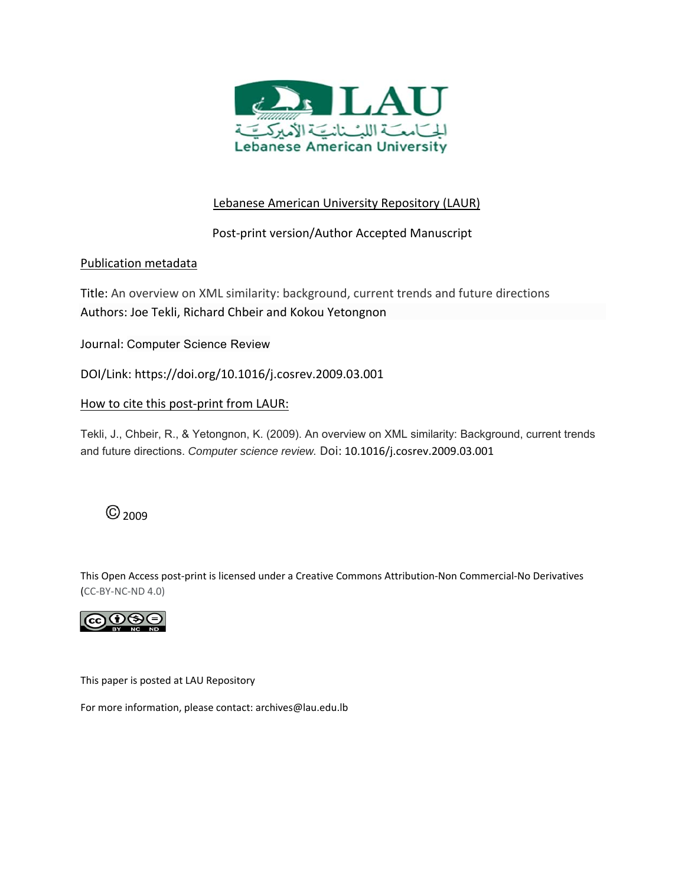

## Lebanese American University Repository (LAUR)

## Post‐print version/Author Accepted Manuscript

## Publication metadata

Title: An overview on XML similarity: background, current trends and future directions Authors: Joe Tekli, Richard Chbeir and Kokou Yetongnon

Journal: Computer Science Review

DOI/Link: https://doi.org/10.1016/j.cosrev.2009.03.001

## How to cite this post-print from LAUR:

Tekli, J., Chbeir, R., & Yetongnon, K. (2009). An overview on XML similarity: Background, current trends and future directions. *Computer science review.* Doi: 10.1016/j.cosrev.2009.03.001

## $@$ <sub>2009</sub>

This Open Access post‐print is licensed under a Creative Commons Attribution‐Non Commercial‐No Derivatives (CC‐BY‐NC‐ND 4.0)



This paper is posted at LAU Repository

For more information, please contact: archives@lau.edu.lb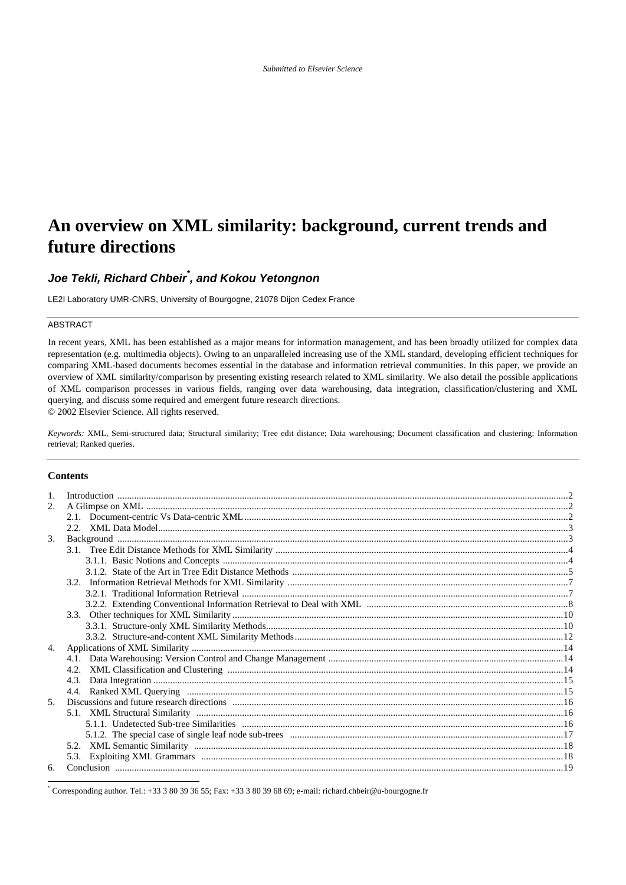# **An overview on XML similarity: background, current trends and future directions**

## *Joe Tekli, Richard Chbeir\* , and Kokou Yetongnon*

LE2I Laboratory UMR-CNRS, University of Bourgogne, 21078 Dijon Cedex France

#### ABSTRACT

In recent years, XML has been established as a major means for information management, and has been broadly utilized for complex data representation (e.g. multimedia objects). Owing to an unparalleled increasing use of the XML standard, developing efficient techniques for comparing XML-based documents becomes essential in the database and information retrieval communities. In this paper, we provide an overview of XML similarity/comparison by presenting existing research related to XML similarity. We also detail the possible applications of XML comparison processes in various fields, ranging over data warehousing, data integration, classification/clustering and XML querying, and discuss some required and emergent future research directions.

© 2002 Elsevier Science. All rights reserved.

*Keywords:* XML, Semi-structured data; Structural similarity; Tree edit distance; Data warehousing; Document classification and clustering; Information retrieval; Ranked queries.

#### **Contents**

l

| 2. |  |
|----|--|
|    |  |
|    |  |
| 3. |  |
|    |  |
|    |  |
|    |  |
|    |  |
|    |  |
|    |  |
|    |  |
|    |  |
|    |  |
| 4. |  |
|    |  |
|    |  |
|    |  |
|    |  |
| 5. |  |
|    |  |
|    |  |
|    |  |
|    |  |
|    |  |
| 6. |  |

\* Corresponding author. Tel.: +33 3 80 39 36 55; Fax: +33 3 80 39 68 69; e-mail: richard.chbeir@u-bourgogne.fr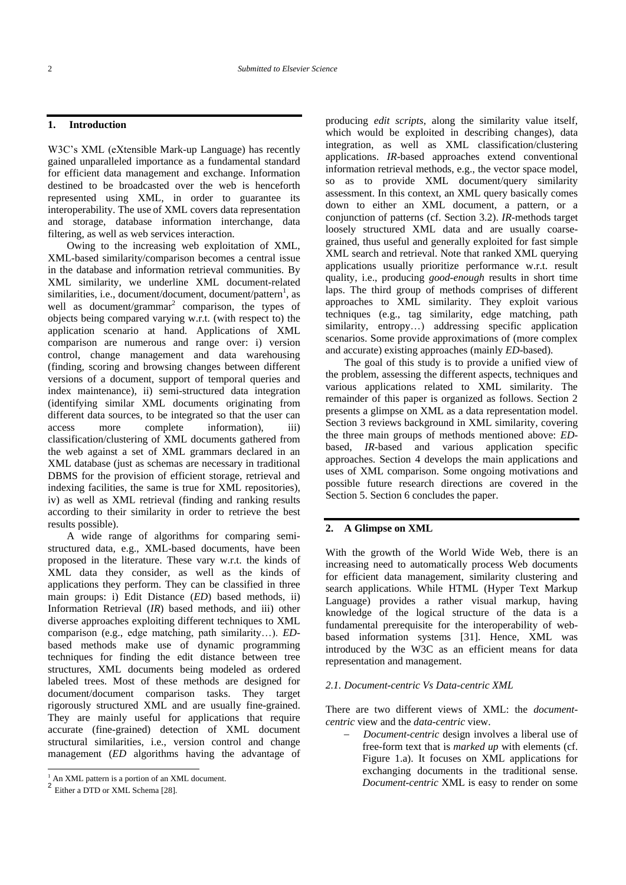#### **1. Introduction**

W3C's XML (eXtensible Mark-up Language) has recently gained unparalleled importance as a fundamental standard for efficient data management and exchange. Information destined to be broadcasted over the web is henceforth represented using XML, in order to guarantee its interoperability. The use of XML covers data representation and storage, database information interchange, data filtering, as well as web services interaction.

Owing to the increasing web exploitation of XML, XML-based similarity/comparison becomes a central issue in the database and information retrieval communities. By XML similarity, we underline XML document-related similarities, i.e., document/document, document/pattern<sup>1</sup>, as well as document/grammar<sup>2</sup> comparison, the types of objects being compared varying w.r.t. (with respect to) the application scenario at hand. Applications of XML comparison are numerous and range over: i) version control, change management and data warehousing (finding, scoring and browsing changes between different versions of a document, support of temporal queries and index maintenance), ii) semi-structured data integration (identifying similar XML documents originating from different data sources, to be integrated so that the user can access more complete information), iii) classification/clustering of XML documents gathered from the web against a set of XML grammars declared in an XML database (just as schemas are necessary in traditional DBMS for the provision of efficient storage, retrieval and indexing facilities, the same is true for XML repositories), iv) as well as XML retrieval (finding and ranking results according to their similarity in order to retrieve the best results possible).

A wide range of algorithms for comparing semistructured data, e.g., XML-based documents, have been proposed in the literature. These vary w.r.t. the kinds of XML data they consider, as well as the kinds of applications they perform. They can be classified in three main groups: i) Edit Distance (*ED*) based methods, ii) Information Retrieval (*IR*) based methods, and iii) other diverse approaches exploiting different techniques to XML comparison (e.g., edge matching, path similarity…). *ED*based methods make use of dynamic programming techniques for finding the edit distance between tree structures, XML documents being modeled as ordered labeled trees. Most of these methods are designed for document/document comparison tasks. They target rigorously structured XML and are usually fine-grained. They are mainly useful for applications that require accurate (fine-grained) detection of XML document structural similarities, i.e., version control and change management (*ED* algorithms having the advantage of

l

producing *edit scripts*, along the similarity value itself, which would be exploited in describing changes), data integration, as well as XML classification/clustering applications. *IR*-based approaches extend conventional information retrieval methods, e.g., the vector space model, so as to provide XML document/query similarity assessment. In this context, an XML query basically comes down to either an XML document, a pattern, or a conjunction of patterns (cf. Section 3.2). *IR*-methods target loosely structured XML data and are usually coarsegrained, thus useful and generally exploited for fast simple XML search and retrieval. Note that ranked XML querying applications usually prioritize performance w.r.t. result quality, i.e., producing *good-enough* results in short time laps. The third group of methods comprises of different approaches to XML similarity. They exploit various techniques (e.g., tag similarity, edge matching, path similarity, entropy...) addressing specific application scenarios. Some provide approximations of (more complex and accurate) existing approaches (mainly *ED*-based).

The goal of this study is to provide a unified view of the problem, assessing the different aspects, techniques and various applications related to XML similarity. The remainder of this paper is organized as follows. Section 2 presents a glimpse on XML as a data representation model. Section 3 reviews background in XML similarity, covering the three main groups of methods mentioned above: *ED*based, *IR*-based and various application specific approaches. Section 4 develops the main applications and uses of XML comparison. Some ongoing motivations and possible future research directions are covered in the Section 5. Section 6 concludes the paper.

#### **2. A Glimpse on XML**

With the growth of the World Wide Web, there is an increasing need to automatically process Web documents for efficient data management, similarity clustering and search applications. While HTML (Hyper Text Markup Language) provides a rather visual markup, having knowledge of the logical structure of the data is a fundamental prerequisite for the interoperability of webbased information systems [\[31\].](#page-22-1) Hence, XML was introduced by the W3C as an efficient means for data representation and management.

#### *2.1. Document-centric Vs Data-centric XML*

There are two different views of XML: the *documentcentric* view and the *data-centric* view.

 *Document-centric* design involves a liberal use of free-form text that is *marked up* with elements (cf. Figure 1.a). It focuses on XML applications for exchanging documents in the traditional sense. *Document-centric* XML is easy to render on some

 $<sup>1</sup>$  An XML pattern is a portion of an XML document.</sup>

<sup>&</sup>lt;sup>2</sup> Either a DTD or XML Schem[a \[28\].](#page-22-0)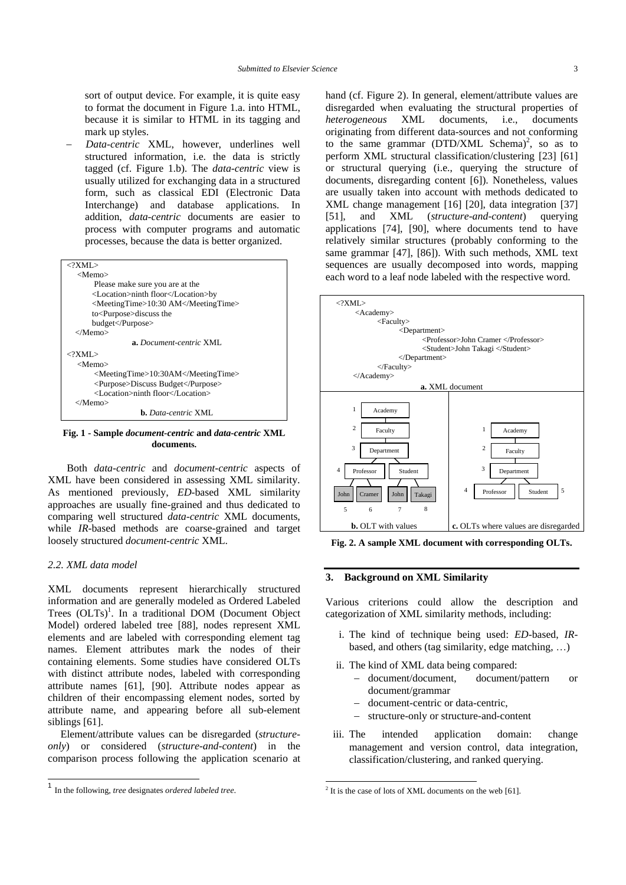sort of output device. For example, it is quite easy to format the document in Figure 1.a. into HTML, because it is similar to HTML in its tagging and mark up styles.

 *Data-centric* XML, however, underlines well structured information, i.e. the data is strictly tagged (cf. Figure 1.b). The *data-centric* view is usually utilized for exchanging data in a structured form, such as classical EDI (Electronic Data Interchange) and database applications. In addition, *data-centric* documents are easier to process with computer programs and automatic processes, because the data is better organized.

| $\langle$ ?XMI $>$                  |  |  |  |  |
|-------------------------------------|--|--|--|--|
| <memo></memo>                       |  |  |  |  |
| Please make sure you are at the     |  |  |  |  |
| <location>ninth floor</location> by |  |  |  |  |
| <meetingtime>10:30 AM</meetingtime> |  |  |  |  |
| to <purpose>discuss the</purpose>   |  |  |  |  |
| budget                              |  |  |  |  |
|                                     |  |  |  |  |
| <b>a.</b> Document-centric XML.     |  |  |  |  |
| $\langle$ ?XMI $>$                  |  |  |  |  |
| $<$ Memo $>$                        |  |  |  |  |
| <meetingtime>10:30AM</meetingtime>  |  |  |  |  |
| <purpose>Discuss Budget</purpose>   |  |  |  |  |
| <location>ninth floor</location>    |  |  |  |  |
|                                     |  |  |  |  |
| <b>b.</b> Data-centric XML          |  |  |  |  |

**Fig. 1 - Sample** *document-centric* **and** *data-centric* **XML documents.**

Both *data-centric* and *document-centric* aspects of XML have been considered in assessing XML similarity. As mentioned previously, *ED*-based XML similarity approaches are usually fine-grained and thus dedicated to comparing well structured *data-centric* XML documents, while *IR*-based methods are coarse-grained and target loosely structured *document-centric* XML.

#### *2.2. XML data model*

l

XML documents represent hierarchically structured information and are generally modeled as Ordered Labeled Trees (OLTs)<sup>1</sup>. In a traditional DOM (Document Object Model) ordered labeled tree [\[88\],](#page-24-0) nodes represent XML elements and are labeled with corresponding element tag names. Element attributes mark the nodes of their containing elements. Some studies have considered OLTs with distinct attribute nodes, labeled with corresponding attribute names [\[61\],](#page-23-0) [\[90\].](#page-24-1) Attribute nodes appear as children of their encompassing element nodes, sorted by attribute name, and appearing before all sub-element siblings [\[61\].](#page-23-0)

Element/attribute values can be disregarded (*structureonly*) or considered (*structure-and-content*) in the comparison process following the application scenario at hand (cf. Figure 2). In general, element/attribute values are disregarded when evaluating the structural properties of *heterogeneous* XML documents, i.e., documents originating from different data-sources and not conforming to the same grammar ( $DTD/XML$  Schema)<sup>2</sup>, so as to perform XML structural classification/clustering [\[23\]](#page-22-2) [\[61\]](#page-23-0) or structural querying (i.e., querying the structure of documents, disregarding content [\[6\]\)](#page-22-3). Nonetheless, values are usually taken into account with methods dedicated to XML change management [\[16\]](#page-22-4) [\[20\],](#page-22-5) data integration [\[37\]](#page-23-1) [\[51\],](#page-23-2) and XML (*structure-and-content*) querying applications [\[74\],](#page-24-2) [\[90\],](#page-24-1) where documents tend to have relatively similar structures (probably conforming to the same grammar [\[47\],](#page-23-3) [\[86\]\)](#page-24-3). With such methods, XML text sequences are usually decomposed into words, mapping each word to a leaf node labeled with the respective word.



**Fig. 2. A sample XML document with corresponding OLTs.**

#### **3. Background on XML Similarity**

Various criterions could allow the description and categorization of XML similarity methods, including:

- i. The kind of technique being used: *ED*-based, *IR*based, and others (tag similarity, edge matching, …)
- ii. The kind of XML data being compared:
	- document/document, document/pattern or document/grammar
	- document-centric or data-centric,
	- structure-only or structure-and-content
- iii. The intended application domain: change management and version control, data integration, classification/clustering, and ranked querying.

1

<sup>1</sup> In the following, *tree* designates *ordered labeled tree*.

 $2$  It is the case of lots of XML documents on the we[b \[61\].](#page-23-0)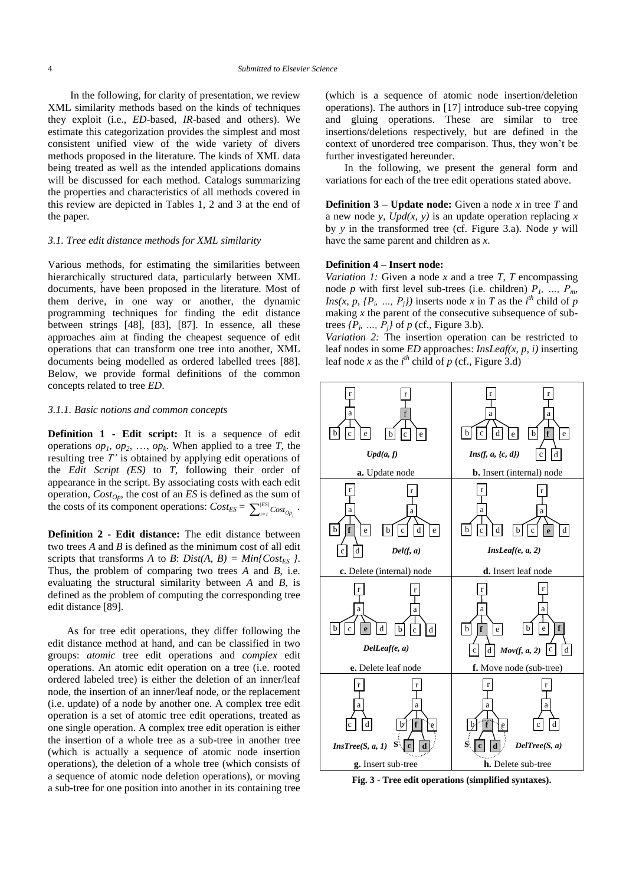In the following, for clarity of presentation, we review XML similarity methods based on the kinds of techniques they exploit (i.e., *ED*-based, *IR*-based and others). We estimate this categorization provides the simplest and most consistent unified view of the wide variety of divers methods proposed in the literature. The kinds of XML data being treated as well as the intended applications domains will be discussed for each method. Catalogs summarizing the properties and characteristics of all methods covered in this review are depicted in Tables 1, 2 and 3 at the end of the paper.

#### *3.1. Tree edit distance methods for XML similarity*

Various methods, for estimating the similarities between hierarchically structured data, particularly between XML documents, have been proposed in the literature. Most of them derive, in one way or another, the dynamic programming techniques for finding the edit distance between strings [\[48\],](#page-23-4) [\[83\],](#page-24-4) [\[87\].](#page-24-5) In essence, all these approaches aim at finding the cheapest sequence of edit operations that can transform one tree into another, XML documents being modelled as ordered labelled trees [\[88\].](#page-24-0) Below, we provide formal definitions of the common concepts related to tree *ED*.

#### *3.1.1. Basic notions and common concepts*

**Definition 1 - Edit script:** It is a sequence of edit operations  $op_1$ ,  $op_2$ , ...,  $op_k$ . When applied to a tree *T*, the resulting tree *T"* is obtained by applying edit operations of the *Edit Script (ES)* to *T*, following their order of appearance in the script. By associating costs with each edit operation, *CostOp*, the cost of an *ES* is defined as the sum of the costs of its component operations:  $Cost_{ES} = \sum_{i}^{|\text{ES}|}$  $\sum\nolimits_{i=1}^{|ES|} Cost_{Op_i}$  ·

**Definition 2 - Edit distance:** The edit distance between two trees *A* and *B* is defined as the minimum cost of all edit scripts that transforms *A* to *B*: *Dist(A, B)* =  $Min\{Cost_{ES} \}$ . Thus, the problem of comparing two trees *A* and *B*, i.e. evaluating the structural similarity between *A* and *B*, is defined as the problem of computing the corresponding tree edit distance [\[89\].](#page-24-6)

As for tree edit operations, they differ following the edit distance method at hand, and can be classified in two groups: *atomic* tree edit operations and *complex* edit operations. An atomic edit operation on a tree (i.e. rooted ordered labeled tree) is either the deletion of an inner/leaf node, the insertion of an inner/leaf node, or the replacement (i.e. update) of a node by another one. A complex tree edit operation is a set of atomic tree edit operations, treated as one single operation. A complex tree edit operation is either the insertion of a whole tree as a sub-tree in another tree (which is actually a sequence of atomic node insertion operations), the deletion of a whole tree (which consists of a sequence of atomic node deletion operations), or moving a sub-tree for one position into another in its containing tree

(which is a sequence of atomic node insertion/deletion operations). The authors in [\[17\]](#page-22-6) introduce sub-tree copying and gluing operations. These are similar to tree insertions/deletions respectively, but are defined in the context of unordered tree comparison. Thus, they won't be further investigated hereunder.

In the following, we present the general form and variations for each of the tree edit operations stated above.

**Definition 3 – Update node:** Given a node  $x$  in tree  $T$  and a new node *y*, *Upd(x, y)* is an update operation replacing *x* by *y* in the transformed tree (cf. Figure 3.a). Node *y* will have the same parent and children as *x*.

#### **Definition 4 – Insert node:**

*Variation 1:* Given a node *x* and a tree *T*, *T* encompassing node *p* with first level sub-trees (i.e. children)  $P_1$ , ...,  $P_m$ , *Ins(x, p, {P<sub>i</sub>, ..., P<sub>j</sub>})* inserts node *x* in *T* as the *i*<sup>th</sup> child of *p* making *x* the parent of the consecutive subsequence of subtrees  $\{P_i, \ldots, P_j\}$  of  $p$  (cf., Figure 3.b).

*Variation 2:* The insertion operation can be restricted to leaf nodes in some *ED* approaches: *InsLeaf(x, p, i)* inserting leaf node *x* as the  $i^{th}$  child of  $p$  (cf., Figure 3.d)



**Fig. 3 - Tree edit operations (simplified syntaxes).**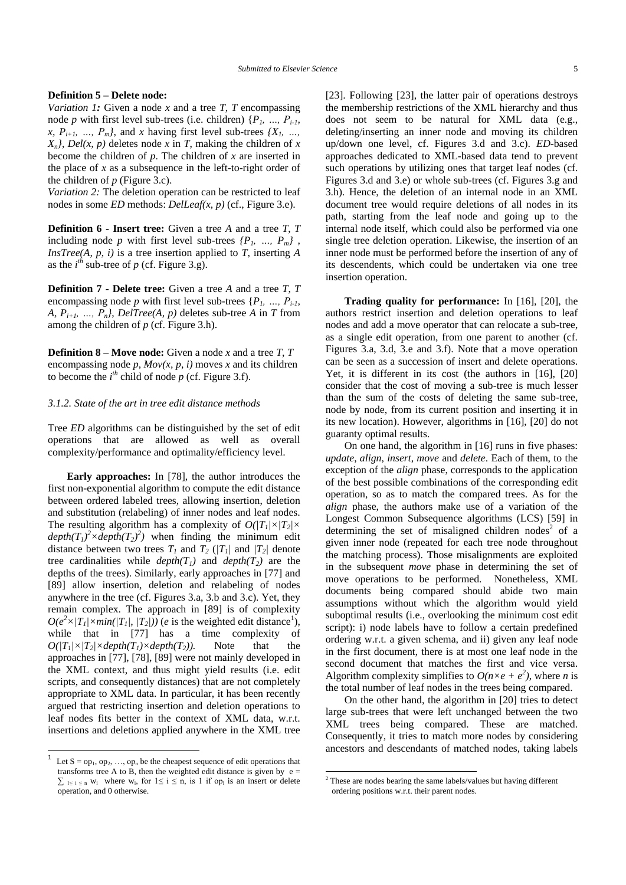#### **Definition 5 – Delete node:**

*Variation 1:* Given a node *x* and a tree *T*, *T* encompassing node *p* with first level sub-trees (i.e. children)  $\{P_1, \ldots, P_{i-l},\}$ *x,*  $P_{i+1}$ , *…,*  $P_m$ *}*, and *x* having first level sub-trees  $\{X_i, \ldots, X_i\}$  $X_n$ , *Del(x, p)* deletes node *x* in *T*, making the children of *x* become the children of *p*. The children of *x* are inserted in the place of *x* as a subsequence in the left-to-right order of the children of  $p$  (Figure 3.c).

*Variation 2:* The deletion operation can be restricted to leaf nodes in some *ED* methods: *DelLeaf(x, p)* (cf., Figure 3.e).

**Definition 6 - Insert tree:** Given a tree *A* and a tree *T*, *T* including node *p* with first level sub-trees  $\{P_1, \ldots, P_m\}$ , *InsTree(A, p, i)* is a tree insertion applied to *T*, inserting *A* as the  $i^{th}$  sub-tree of  $p$  (cf. Figure 3.g).

**Definition 7 - Delete tree:** Given a tree *A* and a tree *T*, *T* encompassing node *p* with first level sub-trees  $\{P_1, \ldots, P_{i-1}\}$ *A,*  $P_{i+1}$ , ...,  $P_n$ *}, DelTree(A, p)* deletes sub-tree *A* in *T* from among the children of *p* (cf. Figure 3.h).

**Definition 8 – Move node:** Given a node *x* and a tree *T*, *T* encompassing node *p*,  $Mov(x, p, i)$  moves *x* and its children to become the  $i^{th}$  child of node  $p$  (cf. Figure 3.f).

#### *3.1.2. State of the art in tree edit distance methods*

Tree *ED* algorithms can be distinguished by the set of edit operations that are allowed as well as overall complexity/performance and optimality/efficiency level.

**Early approaches:** In [\[78\],](#page-24-7) the author introduces the first non-exponential algorithm to compute the edit distance between ordered labeled trees, allowing insertion, deletion and substitution (relabeling) of inner nodes and leaf nodes. The resulting algorithm has a complexity of  $O(|T_1| \times |T_2| \times$  $depth(T_1)^2 \times depth(T_2)^2)$  when finding the minimum edit distance between two trees  $T_I$  and  $T_2$  ( $|T_I|$  and  $|T_2|$  denote tree cardinalities while  $depth(T_1)$  and  $depth(T_2)$  are the depths of the trees). Similarly, early approaches in [\[77\]](#page-24-8) and [\[89\]](#page-24-6) allow insertion, deletion and relabeling of nodes anywhere in the tree (cf. Figures 3.a, 3.b and 3.c). Yet, they remain complex. The approach in [\[89\]](#page-24-6) is of complexity  $O(e^{2} \times |T_{I}| \times min(|T_{I}|, |T_{2}|))$  (*e* is the weighted edit distance<sup>1</sup>), while that in [\[77\]](#page-24-8) has a time complexity of  $O(|T_1| \times |T_2| \times depth(T_1) \times depth(T_2))$ . Note that the approaches i[n \[77\],](#page-24-8) [\[78\],](#page-24-7) [\[89\]](#page-24-6) were not mainly developed in the XML context, and thus might yield results (i.e. edit scripts, and consequently distances) that are not completely appropriate to XML data. In particular, it has been recently argued that restricting insertion and deletion operations to leaf nodes fits better in the context of XML data, w.r.t. insertions and deletions applied anywhere in the XML tree

 $\overline{\phantom{a}}$ 

[\[23\].](#page-22-2) Following [\[23\],](#page-22-2) the latter pair of operations destroys the membership restrictions of the XML hierarchy and thus does not seem to be natural for XML data (e.g., deleting/inserting an inner node and moving its children up/down one level, cf. Figures 3.d and 3.c). *ED-*based approaches dedicated to XML-based data tend to prevent such operations by utilizing ones that target leaf nodes (cf. Figures 3.d and 3.e) or whole sub-trees (cf. Figures 3.g and 3.h). Hence, the deletion of an internal node in an XML document tree would require deletions of all nodes in its path, starting from the leaf node and going up to the internal node itself, which could also be performed via one single tree deletion operation. Likewise, the insertion of an inner node must be performed before the insertion of any of its descendents, which could be undertaken via one tree insertion operation.

**Trading quality for performance:** In [\[16\],](#page-22-4) [\[20\],](#page-22-5) the authors restrict insertion and deletion operations to leaf nodes and add a move operator that can relocate a sub-tree, as a single edit operation, from one parent to another (cf. Figures 3.a, 3.d, 3.e and 3.f). Note that a move operation can be seen as a succession of insert and delete operations. Yet, it is different in its cost (the authors in [\[16\],](#page-22-4) [\[20\]](#page-22-5) consider that the cost of moving a sub-tree is much lesser than the sum of the costs of deleting the same sub-tree, node by node, from its current position and inserting it in its new location). However, algorithms in [\[16\],](#page-22-4) [\[20\]](#page-22-5) do not guaranty optimal results.

On one hand, the algorithm in [\[16\]](#page-22-4) runs in five phases: *update*, *align*, *insert*, *move* and *delete*. Each of them, to the exception of the *align* phase, corresponds to the application of the best possible combinations of the corresponding edit operation, so as to match the compared trees. As for the *align* phase, the authors make use of a variation of the Longest Common Subsequence algorithms (LCS) [\[59\]](#page-23-5) in determining the set of misaligned children nodes<sup>2</sup> of a given inner node (repeated for each tree node throughout the matching process). Those misalignments are exploited in the subsequent *move* phase in determining the set of move operations to be performed. Nonetheless, XML documents being compared should abide two main assumptions without which the algorithm would yield suboptimal results (i.e., overlooking the minimum cost edit script): i) node labels have to follow a certain predefined ordering w.r.t. a given schema, and ii) given any leaf node in the first document, there is at most one leaf node in the second document that matches the first and vice versa. Algorithm complexity simplifies to  $O(n \times e + e^2)$ , where *n* is the total number of leaf nodes in the trees being compared.

On the other hand, the algorithm in [\[20\]](#page-22-5) tries to detect large sub-trees that were left unchanged between the two XML trees being compared. These are matched. Consequently, it tries to match more nodes by considering ancestors and descendants of matched nodes, taking labels

1

<sup>1</sup> Let  $S = op_1, op_2, ..., op_n$  be the cheapest sequence of edit operations that transforms tree A to B, then the weighted edit distance is given by  $e =$  $\sum_{1 \le i \le n} w_i$  where  $w_i$ , for  $1 \le i \le n$ , is 1 if op<sub>i</sub> is an insert or delete operation, and 0 otherwise.

 $2^2$  These are nodes bearing the same labels/values but having different ordering positions w.r.t. their parent nodes.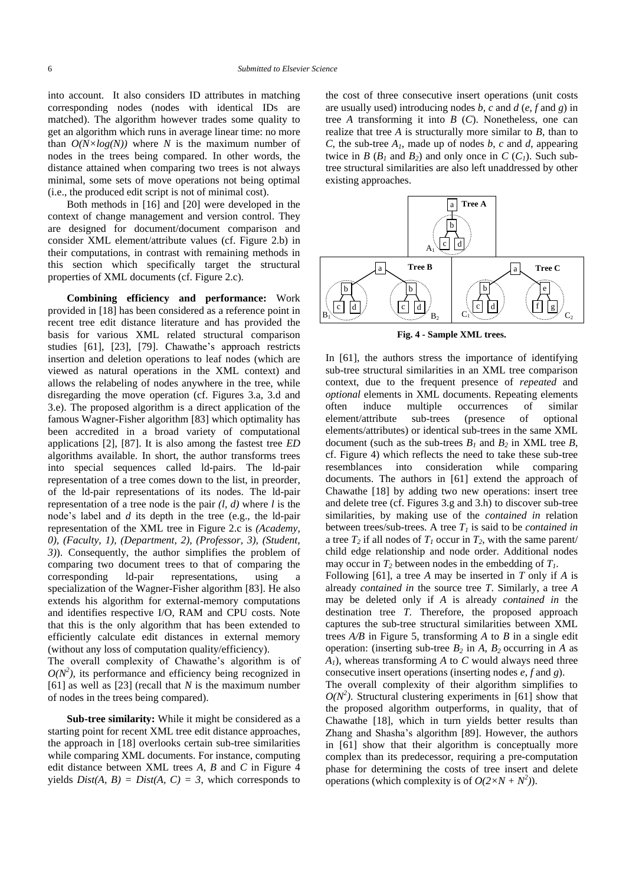into account. It also considers ID attributes in matching corresponding nodes (nodes with identical IDs are matched). The algorithm however trades some quality to get an algorithm which runs in average linear time: no more than  $O(N \times log(N))$  where *N* is the maximum number of nodes in the trees being compared. In other words, the distance attained when comparing two trees is not always minimal, some sets of move operations not being optimal (i.e., the produced edit script is not of minimal cost).

Both methods in [\[16\]](#page-22-4) and [\[20\]](#page-22-5) were developed in the context of change management and version control. They are designed for document/document comparison and consider XML element/attribute values (cf. Figure 2.b) in their computations, in contrast with remaining methods in this section which specifically target the structural properties of XML documents (cf. Figure 2.c).

**Combining efficiency and performance:** Work provided in [\[18\]](#page-22-7) has been considered as a reference point in recent tree edit distance literature and has provided the basis for various XML related structural comparison studies [\[61\],](#page-23-0) [\[23\],](#page-22-2) [\[79\].](#page-24-9) Chawathe's approach restricts insertion and deletion operations to leaf nodes (which are viewed as natural operations in the XML context) and allows the relabeling of nodes anywhere in the tree, while disregarding the move operation (cf. Figures 3.a, 3.d and 3.e). The proposed algorithm is a direct application of the famous Wagner-Fisher algorithm [\[83\]](#page-24-4) which optimality has been accredited in a broad variety of computational applications [\[2\],](#page-22-8) [\[87\].](#page-24-5) It is also among the fastest tree *ED* algorithms available. In short, the author transforms trees into special sequences called ld-pairs. The ld-pair representation of a tree comes down to the list, in preorder, of the ld-pair representations of its nodes. The ld-pair representation of a tree node is the pair *(l, d)* where *l* is the node's label and *d* its depth in the tree (e.g., the ld-pair representation of the XML tree in Figure 2.c is *(Academy, 0), (Faculty, 1), (Department, 2), (Professor, 3), (Student, 3)*). Consequently, the author simplifies the problem of comparing two document trees to that of comparing the corresponding ld-pair representations, using a specialization of the Wagner-Fisher algorithm [\[83\].](#page-24-4) He also extends his algorithm for external-memory computations and identifies respective I/O, RAM and CPU costs. Note that this is the only algorithm that has been extended to efficiently calculate edit distances in external memory (without any loss of computation quality/efficiency). The overall complexity of Chawathe's algorithm is of  $O(N^2)$ , its performance and efficiency being recognized in [\[61\]](#page-23-0) as well as [\[23\]](#page-22-2) (recall that *N* is the maximum number

**Sub-tree similarity:** While it might be considered as a starting point for recent XML tree edit distance approaches, the approach in [\[18\]](#page-22-7) overlooks certain sub-tree similarities while comparing XML documents. For instance, computing edit distance between XML trees *A*, *B* and *C* in Figure 4 yields  $Dist(A, B) = Dist(A, C) = 3$ , which corresponds to

of nodes in the trees being compared).

the cost of three consecutive insert operations (unit costs are usually used) introducing nodes *b*, *c* and *d* (*e*, *f* and *g*) in tree *A* transforming it into *B* (*C*). Nonetheless, one can realize that tree *A* is structurally more similar to *B*, than to *C*, the sub-tree *A1*, made up of nodes *b*, *c* and *d*, appearing twice in *B* ( $B_1$  and  $B_2$ ) and only once in *C* ( $C_1$ ). Such subtree structural similarities are also left unaddressed by other existing approaches.



**Fig. 4 - Sample XML trees.**

In [\[61\],](#page-23-0) the authors stress the importance of identifying sub-tree structural similarities in an XML tree comparison context, due to the frequent presence of *repeated* and *optional* elements in XML documents. Repeating elements often induce multiple occurrences of similar element/attribute sub-trees (presence of optional elements/attributes) or identical sub-trees in the same XML document (such as the sub-trees  $B_1$  and  $B_2$  in XML tree  $B$ , cf. Figure 4) which reflects the need to take these sub-tree resemblances into consideration while comparing documents. The authors in [\[61\]](#page-23-0) extend the approach of Chawathe [\[18\]](#page-22-7) by adding two new operations: insert tree and delete tree (cf. Figures 3.g and 3.h) to discover sub-tree similarities, by making use of the *contained in* relation between trees/sub-trees. A tree  $T<sub>l</sub>$  is said to be *contained in* a tree  $T_2$  if all nodes of  $T_1$  occur in  $T_2$ , with the same parent/ child edge relationship and node order. Additional nodes may occur in  $T_2$  between nodes in the embedding of  $T_1$ .

Following [\[61\],](#page-23-0) a tree *A* may be inserted in *T* only if *A* is already *contained in* the source tree *T*. Similarly, a tree *A* may be deleted only if *A* is already *contained in* the destination tree *T*. Therefore, the proposed approach captures the sub-tree structural similarities between XML trees *A/B* in Figure 5, transforming *A* to *B* in a single edit operation: (inserting sub-tree  $B_2$  in  $A$ ,  $B_2$  occurring in  $A$  as *A1*), whereas transforming *A* to *C* would always need three consecutive insert operations (inserting nodes *e*, *f* and *g*).

The overall complexity of their algorithm simplifies to  $O(N^2)$ . Structural clustering experiments in [\[61\]](#page-23-0) show that the proposed algorithm outperforms, in quality, that of Chawathe [\[18\],](#page-22-7) which in turn yields better results than Zhang and Shasha's algorithm [\[89\].](#page-24-6) However, the authors in [\[61\]](#page-23-0) show that their algorithm is conceptually more complex than its predecessor, requiring a pre-computation phase for determining the costs of tree insert and delete operations (which complexity is of  $O(2 \times N + N^2)$ ).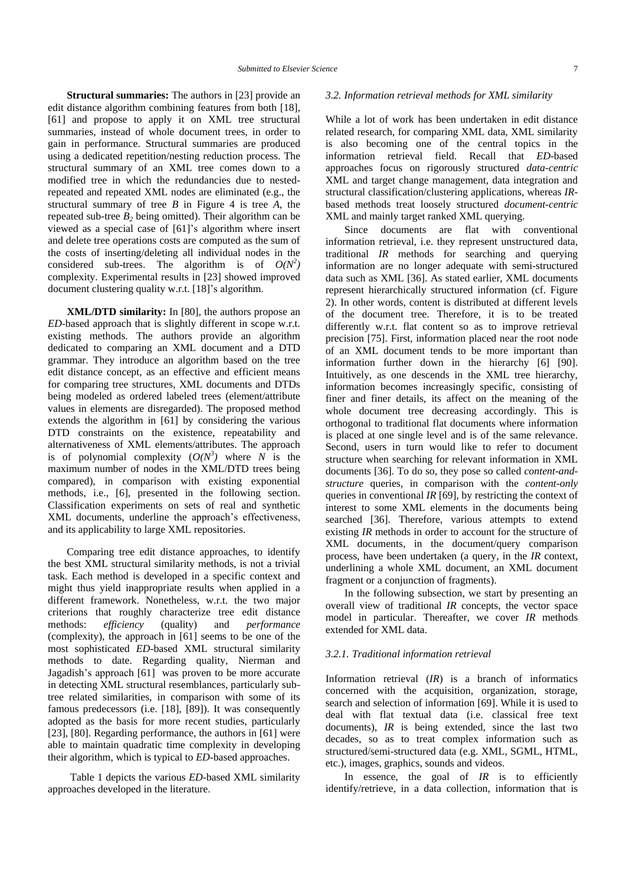**Structural summaries:** The authors in [\[23\]](#page-22-2) provide an edit distance algorithm combining features from both [\[18\],](#page-22-7) [\[61\]](#page-23-0) and propose to apply it on XML tree structural summaries, instead of whole document trees, in order to gain in performance. Structural summaries are produced using a dedicated repetition/nesting reduction process. The structural summary of an XML tree comes down to a modified tree in which the redundancies due to nestedrepeated and repeated XML nodes are eliminated (e.g., the structural summary of tree *B* in Figure 4 is tree *A*, the repeated sub-tree  $B_2$  being omitted). Their algorithm can be viewed as a special case of [\[61\]'](#page-23-0)s algorithm where insert and delete tree operations costs are computed as the sum of the costs of inserting/deleting all individual nodes in the considered sub-trees. The algorithm is of  $O(N^2)$ complexity. Experimental results in [\[23\]](#page-22-2) showed improved document clustering quality w.r.t. [\[18\]'](#page-22-7)s algorithm.

**XML/DTD similarity:** In [\[80\],](#page-24-10) the authors propose an *ED*-based approach that is slightly different in scope w.r.t. existing methods. The authors provide an algorithm dedicated to comparing an XML document and a DTD grammar. They introduce an algorithm based on the tree edit distance concept, as an effective and efficient means for comparing tree structures, XML documents and DTDs being modeled as ordered labeled trees (element/attribute values in elements are disregarded). The proposed method extends the algorithm in [\[61\]](#page-23-0) by considering the various DTD constraints on the existence, repeatability and alternativeness of XML elements/attributes. The approach is of polynomial complexity  $(O(N^3))$  where N is the maximum number of nodes in the XML/DTD trees being compared), in comparison with existing exponential methods, i.e., [\[6\],](#page-22-3) presented in the following section. Classification experiments on sets of real and synthetic XML documents, underline the approach's effectiveness, and its applicability to large XML repositories.

Comparing tree edit distance approaches, to identify the best XML structural similarity methods, is not a trivial task. Each method is developed in a specific context and might thus yield inappropriate results when applied in a different framework. Nonetheless, w.r.t. the two major criterions that roughly characterize tree edit distance methods: *efficiency* (quality) and *performance* (complexity), the approach in [\[61\]](#page-23-0) seems to be one of the most sophisticated *ED*-based XML structural similarity methods to date. Regarding quality, Nierman and Jagadish's approach [\[61\]](#page-23-0) was proven to be more accurate in detecting XML structural resemblances, particularly subtree related similarities, in comparison with some of its famous predecessors (i.e. [\[18\],](#page-22-7) [\[89\]\)](#page-24-6). It was consequently adopted as the basis for more recent studies, particularly [\[23\],](#page-22-2) [\[80\].](#page-24-10) Regarding performance, the authors in [\[61\]](#page-23-0) were able to maintain quadratic time complexity in developing their algorithm, which is typical to *ED*-based approaches.

Table 1 depicts the various *ED*-based XML similarity approaches developed in the literature.

#### *3.2. Information retrieval methods for XML similarity*

While a lot of work has been undertaken in edit distance related research, for comparing XML data, XML similarity is also becoming one of the central topics in the information retrieval field. Recall that *ED*-based approaches focus on rigorously structured *data-centric* XML and target change management, data integration and structural classification/clustering applications, whereas *IR*based methods treat loosely structured *document-centric* XML and mainly target ranked XML querying.

Since documents are flat with conventional information retrieval, i.e. they represent unstructured data, traditional *IR* methods for searching and querying information are no longer adequate with semi-structured data such as XML [\[36\].](#page-23-6) As stated earlier, XML documents represent hierarchically structured information (cf. Figure 2). In other words, content is distributed at different levels of the document tree. Therefore, it is to be treated differently w.r.t. flat content so as to improve retrieval precision [\[75\].](#page-24-11) First, information placed near the root node of an XML document tends to be more important than information further down in the hierarchy [\[6\]](#page-22-3) [\[90\].](#page-24-1) Intuitively, as one descends in the XML tree hierarchy, information becomes increasingly specific, consisting of finer and finer details, its affect on the meaning of the whole document tree decreasing accordingly. This is orthogonal to traditional flat documents where information is placed at one single level and is of the same relevance. Second, users in turn would like to refer to document structure when searching for relevant information in XML documents [\[36\].](#page-23-6) To do so, they pose so called *content-andstructure* queries, in comparison with the *content-only* queries in conventional *IR* [\[69\],](#page-23-7) by restricting the context of interest to some XML elements in the documents being searched [\[36\].](#page-23-6) Therefore, various attempts to extend existing *IR* methods in order to account for the structure of XML documents, in the document/query comparison process, have been undertaken (a query, in the *IR* context, underlining a whole XML document, an XML document fragment or a conjunction of fragments).

In the following subsection, we start by presenting an overall view of traditional *IR* concepts, the vector space model in particular. Thereafter, we cover *IR* methods extended for XML data.

#### *3.2.1. Traditional information retrieval*

Information retrieval (*IR*) is a branch of informatics concerned with the acquisition, organization, storage, search and selection of information [\[69\].](#page-23-7) While it is used to deal with flat textual data (i.e. classical free text documents), *IR* is being extended, since the last two decades, so as to treat complex information such as structured/semi-structured data (e.g. XML, SGML, HTML, etc.), images, graphics, sounds and videos.

In essence, the goal of *IR* is to efficiently identify/retrieve, in a data collection, information that is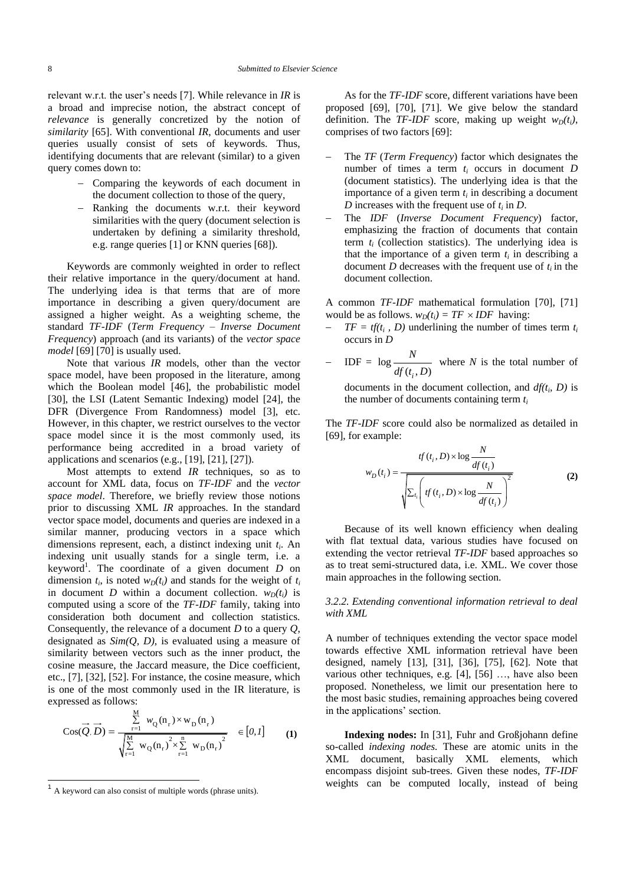relevant w.r.t. the user's needs [\[7\].](#page-22-9) While relevance in *IR* is a broad and imprecise notion, the abstract concept of *relevance* is generally concretized by the notion of *similarity* [\[65\].](#page-23-8) With conventional *IR*, documents and user queries usually consist of sets of keywords. Thus, identifying documents that are relevant (similar) to a given query comes down to:

- Comparing the keywords of each document in the document collection to those of the query,
- Ranking the documents w.r.t. their keyword similarities with the query (document selection is undertaken by defining a similarity threshold, e.g. range queries [\[1\]](#page-22-10) or KNN querie[s \[68\]\)](#page-23-9).

Keywords are commonly weighted in order to reflect their relative importance in the query/document at hand. The underlying idea is that terms that are of more importance in describing a given query/document are assigned a higher weight. As a weighting scheme, the standard *TF-IDF* (*Term Frequency – Inverse Document Frequency*) approach (and its variants) of the *vector space model* [\[69\]](#page-23-7) [\[70\]](#page-23-10) is usually used.

Note that various *IR* models, other than the vector space model, have been proposed in the literature, among which the Boolean model [\[46\],](#page-23-11) the probabilistic model [\[30\],](#page-22-11) the LSI (Latent Semantic Indexing) model [\[24\],](#page-22-12) the DFR (Divergence From Randomness) model [\[3\],](#page-22-13) etc. However, in this chapter, we restrict ourselves to the vector space model since it is the most commonly used, its performance being accredited in a broad variety of applications and scenarios (e.g., [\[19\],](#page-22-14) [\[21\],](#page-22-15) [\[27\]\)](#page-22-16).

Most attempts to extend *IR* techniques, so as to account for XML data, focus on *TF-IDF* and the *vector space model*. Therefore, we briefly review those notions prior to discussing XML *IR* approaches. In the standard vector space model, documents and queries are indexed in a similar manner, producing vectors in a space which dimensions represent, each, a distinct indexing unit *t<sup>i</sup>* . An indexing unit usually stands for a single term, i.e. a keyword<sup>1</sup>. The coordinate of a given document  $D$  on dimension  $t_i$ , is noted  $w_D(t_i)$  and stands for the weight of  $t_i$ in document *D* within a document collection.  $w_D(t_i)$  is computed using a score of the *TF-IDF* family, taking into consideration both document and collection statistics. Consequently, the relevance of a document *D* to a query *Q*, designated as *Sim(Q, D)*, is evaluated using a measure of similarity between vectors such as the inner product, the cosine measure, the Jaccard measure, the Dice coefficient, etc., [\[7\],](#page-22-9) [\[32\],](#page-22-17) [\[52\].](#page-23-12) For instance, the cosine measure, which is one of the most commonly used in the IR literature, is expressed as follows:

$$
\cos(\vec{Q}, \vec{D}) = \frac{\sum_{r=1}^{M} w_Q(n_r) \times w_D(n_r)}{\sqrt{\sum_{r=1}^{M} w_Q(n_r)^2 \times \sum_{r=1}^{n} w_D(n_r)^2}} \in [0, 1] \tag{1}
$$

As for the *TF-IDF* score, different variations have been proposed [\[69\],](#page-23-7) [\[70\],](#page-23-10) [\[71\].](#page-23-13) We give below the standard definition. The *TF-IDF* score, making up weight  $w_D(t_i)$ , comprises of two factor[s \[69\]:](#page-23-7)

- The *TF* (*Term Frequency*) factor which designates the number of times a term *t<sup>i</sup>* occurs in document *D* (document statistics). The underlying idea is that the importance of a given term  $t_i$  in describing a document *D* increases with the frequent use of *t<sup>i</sup>* in *D*.
- The *IDF* (*Inverse Document Frequency*) factor, emphasizing the fraction of documents that contain term  $t_i$  (collection statistics). The underlying idea is that the importance of a given term  $t_i$  in describing a document *D* decreases with the frequent use of  $t_i$  in the document collection.

A common *TF-IDF* mathematical formulation [\[70\],](#page-23-10) [\[71\]](#page-23-13) would be as follows.  $w_D(t_i) = TF \times IDF$  having:

- *-*  $TF = tf(t_i, D)$  underlining the number of times term  $t_i$ occurs in *D*
- $-$  IDF =  $\log$  $(t_i, D)$ *N*  $df(t_i, D)$ where *N* is the total number of

documents in the document collection, and *df(t<sup>i</sup> , D)* is the number of documents containing term *t<sup>i</sup>*

The *TF-IDF* score could also be normalized as detailed in [\[69\],](#page-23-7) for example:

$$
w_D(t_i) = \frac{tf(t_i, D) \times \log \frac{N}{df(t_i)}}{\sqrt{\sum_{t_i} \left( tf(t_i, D) \times \log \frac{N}{df(t_i)} \right)^2}}
$$
(2)

Because of its well known efficiency when dealing with flat textual data, various studies have focused on extending the vector retrieval *TF-IDF* based approaches so as to treat semi-structured data, i.e. XML. We cover those main approaches in the following section.

#### *3.2.2. Extending conventional information retrieval to deal with XML*

A number of techniques extending the vector space model towards effective XML information retrieval have been designed, namely [\[13\],](#page-22-18) [\[31\],](#page-22-1) [\[36\],](#page-23-6) [\[75\],](#page-24-11) [\[62\].](#page-23-14) Note that various other techniques, e.g. [\[4\],](#page-22-19) [\[56\]](#page-23-15) …, have also been proposed. Nonetheless, we limit our presentation here to the most basic studies, remaining approaches being covered in the applications' section.

**Indexing nodes:** In [\[31\],](#page-22-1) Fuhr and Großjohann define so-called *indexing nodes.* These are atomic units in the XML document, basically XML elements, which encompass disjoint sub-trees. Given these nodes, *TF-IDF*  weights can be computed locally, instead of being

<sup>&</sup>lt;sup>1</sup> A keyword can also consist of multiple words (phrase units).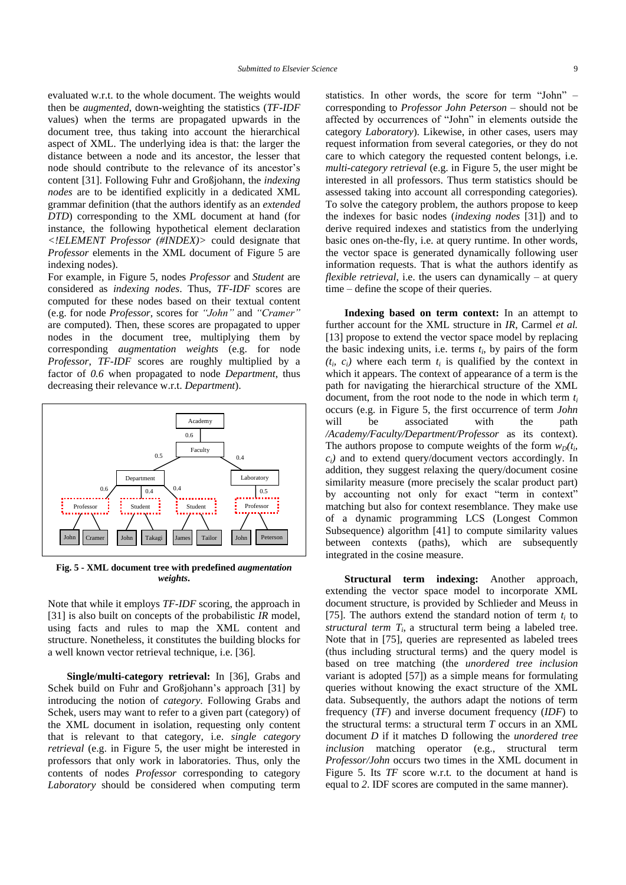evaluated w.r.t. to the whole document. The weights would then be *augmented*, down-weighting the statistics (*TF-IDF* values) when the terms are propagated upwards in the document tree, thus taking into account the hierarchical aspect of XML. The underlying idea is that: the larger the distance between a node and its ancestor, the lesser that node should contribute to the relevance of its ancestor's content [\[31\].](#page-22-1) Following Fuhr and Großjohann, the *indexing nodes* are to be identified explicitly in a dedicated XML grammar definition (that the authors identify as an *extended DTD*) corresponding to the XML document at hand (for instance, the following hypothetical element declaration *<!ELEMENT Professor (#INDEX)>* could designate that *Professor* elements in the XML document of Figure 5 are indexing nodes).

For example, in Figure 5, nodes *Professor* and *Student* are considered as *indexing nodes*. Thus, *TF-IDF* scores are computed for these nodes based on their textual content (e.g. for node *Professor*, scores for *"John"* and *"Cramer"* are computed). Then, these scores are propagated to upper nodes in the document tree, multiplying them by corresponding *augmentation weights* (e.g. for node *Professor*, *TF-IDF* scores are roughly multiplied by a factor of *0.6* when propagated to node *Department*, thus decreasing their relevance w.r.t. *Department*).



**Fig. 5 - XML document tree with predefined** *augmentation weights***.**

Note that while it employs *TF-IDF* scoring, the approach in [\[31\]](#page-22-1) is also built on concepts of the probabilistic *IR* model, using facts and rules to map the XML content and structure. Nonetheless, it constitutes the building blocks for a well known vector retrieval technique, i.e. [\[36\].](#page-23-6)

**Single/multi-category retrieval:** In [\[36\],](#page-23-6) Grabs and Schek build on Fuhr and Großjohann's approach [\[31\]](#page-22-1) by introducing the notion of *category*. Following Grabs and Schek, users may want to refer to a given part (category) of the XML document in isolation, requesting only content that is relevant to that category, i.e. *single category retrieval* (e.g. in Figure 5, the user might be interested in professors that only work in laboratories. Thus, only the contents of nodes *Professor* corresponding to category *Laboratory* should be considered when computing term

statistics. In other words, the score for term "John" – corresponding to *Professor John Peterson* – should not be affected by occurrences of "John" in elements outside the category *Laboratory*). Likewise, in other cases, users may request information from several categories, or they do not care to which category the requested content belongs, i.e. *multi-category retrieval* (e.g. in Figure 5, the user might be interested in all professors. Thus term statistics should be assessed taking into account all corresponding categories). To solve the category problem, the authors propose to keep the indexes for basic nodes (*indexing nodes* [\[31\]\)](#page-22-1) and to derive required indexes and statistics from the underlying basic ones on-the-fly, i.e. at query runtime. In other words, the vector space is generated dynamically following user information requests. That is what the authors identify as *flexible retrieval*, i.e. the users can dynamically – at query time – define the scope of their queries.

**Indexing based on term context:** In an attempt to further account for the XML structure in *IR*, Carmel *et al.* [\[13\]](#page-22-18) propose to extend the vector space model by replacing the basic indexing units, i.e. terms  $t_i$ , by pairs of the form  $(t_i, c_i)$  where each term  $t_i$  is qualified by the context in which it appears. The context of appearance of a term is the path for navigating the hierarchical structure of the XML document, from the root node to the node in which term *t<sup>i</sup>* occurs (e.g. in Figure 5, the first occurrence of term *John* will be associated with the path */Academy/Faculty/Department/Professor* as its context). The authors propose to compute weights of the form  $w_D(t_i)$  $c_i$ *i* and to extend query/document vectors accordingly. In addition, they suggest relaxing the query/document cosine similarity measure (more precisely the scalar product part) by accounting not only for exact "term in context" matching but also for context resemblance. They make use of a dynamic programming LCS (Longest Common Subsequence) algorithm [\[41\]](#page-23-16) to compute similarity values between contexts (paths), which are subsequently integrated in the cosine measure.

**Structural term indexing:** Another approach, extending the vector space model to incorporate XML document structure, is provided by Schlieder and Meuss in [\[75\].](#page-24-11) The authors extend the standard notion of term  $t_i$  to *structural term*  $T_i$ , a structural term being a labeled tree. Note that in [\[75\],](#page-24-11) queries are represented as labeled trees (thus including structural terms) and the query model is based on tree matching (the *unordered tree inclusion* variant is adopted [\[57\]\)](#page-23-17) as a simple means for formulating queries without knowing the exact structure of the XML data. Subsequently, the authors adapt the notions of term frequency (*TF*) and inverse document frequency (*IDF*) to the structural terms: a structural term *T* occurs in an XML document *D* if it matches D following the *unordered tree inclusion* matching operator (e.g., structural term *Professor/John* occurs two times in the XML document in Figure 5. Its *TF* score w.r.t. to the document at hand is equal to *2*. IDF scores are computed in the same manner).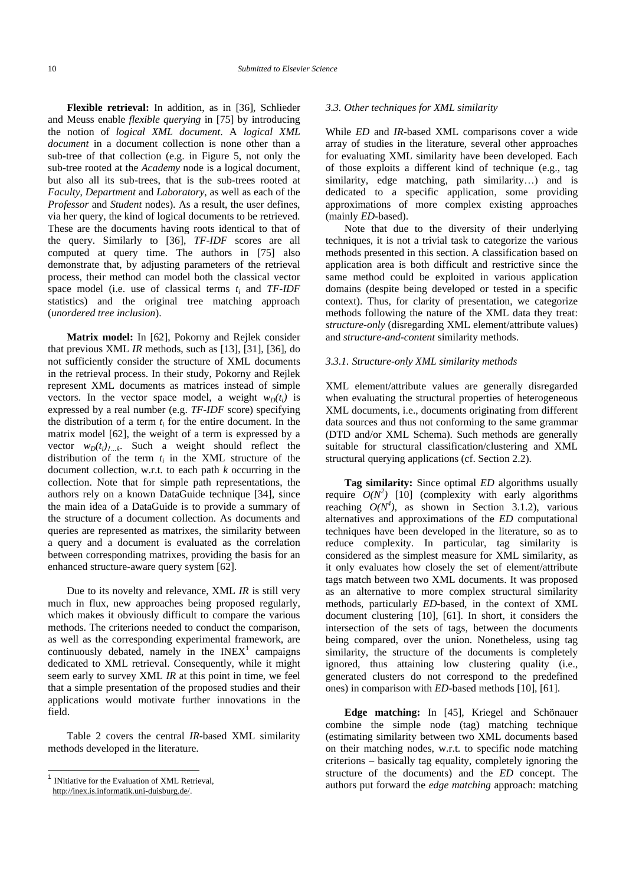**Flexible retrieval:** In addition, as in [\[36\],](#page-23-6) Schlieder and Meuss enable *flexible querying* in [\[75\]](#page-24-11) by introducing the notion of *logical XML document*. A *logical XML document* in a document collection is none other than a sub-tree of that collection (e.g. in Figure 5, not only the sub-tree rooted at the *Academy* node is a logical document, but also all its sub-trees, that is the sub-trees rooted at *Faculty*, *Department* and *Laboratory*, as well as each of the *Professor* and *Student* nodes). As a result, the user defines, via her query, the kind of logical documents to be retrieved. These are the documents having roots identical to that of the query. Similarly to [\[36\],](#page-23-6) *TF-IDF* scores are all computed at query time. The authors in [\[75\]](#page-24-11) also demonstrate that, by adjusting parameters of the retrieval process, their method can model both the classical vector space model (i.e. use of classical terms *t<sup>i</sup>* and *TF-IDF* statistics) and the original tree matching approach (*unordered tree inclusion*).

**Matrix model:** In [\[62\],](#page-23-14) Pokorny and Rejlek consider that previous XML *IR* methods, such as [\[13\],](#page-22-18) [\[31\],](#page-22-1) [\[36\],](#page-23-6) do not sufficiently consider the structure of XML documents in the retrieval process. In their study, Pokorny and Rejlek represent XML documents as matrices instead of simple vectors. In the vector space model, a weight  $w_D(t_i)$  is expressed by a real number (e.g. *TF-IDF* score) specifying the distribution of a term *t<sup>i</sup>* for the entire document. In the matrix model [\[62\],](#page-23-14) the weight of a term is expressed by a vector  $w_D(t_i)$  k. Such a weight should reflect the distribution of the term  $t_i$  in the XML structure of the document collection, w.r.t. to each path *k* occurring in the collection. Note that for simple path representations, the authors rely on a known DataGuide technique [\[34\],](#page-23-18) since the main idea of a DataGuide is to provide a summary of the structure of a document collection. As documents and queries are represented as matrixes, the similarity between a query and a document is evaluated as the correlation between corresponding matrixes, providing the basis for an enhanced structure-aware query system [\[62\].](#page-23-14)

Due to its novelty and relevance, XML *IR* is still very much in flux, new approaches being proposed regularly, which makes it obviously difficult to compare the various methods. The criterions needed to conduct the comparison, as well as the corresponding experimental framework, are continuously debated, namely in the  $INEX<sup>1</sup>$  campaigns dedicated to XML retrieval. Consequently, while it might seem early to survey XML *IR* at this point in time, we feel that a simple presentation of the proposed studies and their applications would motivate further innovations in the field.

Table 2 covers the central *IR*-based XML similarity methods developed in the literature.

l

#### *3.3. Other techniques for XML similarity*

While *ED* and *IR*-based XML comparisons cover a wide array of studies in the literature, several other approaches for evaluating XML similarity have been developed. Each of those exploits a different kind of technique (e.g., tag similarity, edge matching, path similarity…) and is dedicated to a specific application, some providing approximations of more complex existing approaches (mainly *ED*-based).

Note that due to the diversity of their underlying techniques, it is not a trivial task to categorize the various methods presented in this section. A classification based on application area is both difficult and restrictive since the same method could be exploited in various application domains (despite being developed or tested in a specific context). Thus, for clarity of presentation, we categorize methods following the nature of the XML data they treat: *structure-only* (disregarding XML element/attribute values) and *structure-and-content* similarity methods.

#### *3.3.1. Structure-only XML similarity methods*

XML element/attribute values are generally disregarded when evaluating the structural properties of heterogeneous XML documents, i.e., documents originating from different data sources and thus not conforming to the same grammar (DTD and/or XML Schema). Such methods are generally suitable for structural classification/clustering and XML structural querying applications (cf. Section 2.2).

**Tag similarity:** Since optimal *ED* algorithms usually require  $O(N^2)$  [\[10\]](#page-22-20) (complexity with early algorithms reaching  $O(N^4)$ , as shown in Section 3.1.2), various alternatives and approximations of the *ED* computational techniques have been developed in the literature, so as to reduce complexity. In particular, tag similarity is considered as the simplest measure for XML similarity, as it only evaluates how closely the set of element/attribute tags match between two XML documents. It was proposed as an alternative to more complex structural similarity methods, particularly *ED*-based, in the context of XML document clustering [\[10\],](#page-22-20) [\[61\].](#page-23-0) In short, it considers the intersection of the sets of tags, between the documents being compared, over the union. Nonetheless, using tag similarity, the structure of the documents is completely ignored, thus attaining low clustering quality (i.e., generated clusters do not correspond to the predefined ones) in comparison with *ED*-based methods [\[10\],](#page-22-20) [\[61\].](#page-23-0)

**Edge matching:** In [\[45\],](#page-23-19) Kriegel and Schönauer combine the simple node (tag) matching technique (estimating similarity between two XML documents based on their matching nodes, w.r.t. to specific node matching criterions – basically tag equality, completely ignoring the structure of the documents) and the *ED* concept. The authors put forward the *edge matching* approach: matching

<sup>&</sup>lt;sup>1</sup> INitiative for the Evaluation of XML Retrieval,

http://inex.is.informatik.uni-duisburg.de/.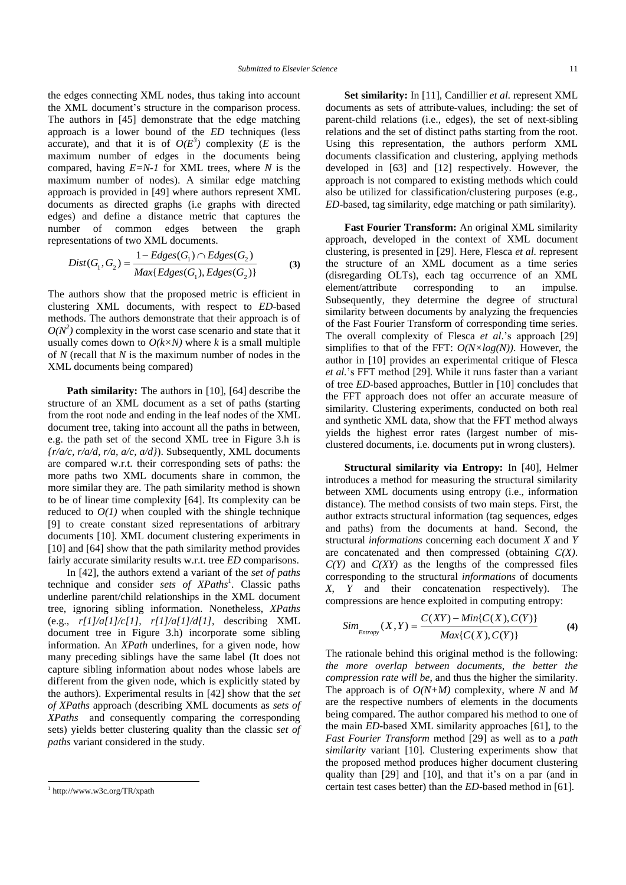the edges connecting XML nodes, thus taking into account the XML document's structure in the comparison process. The authors in [\[45\]](#page-23-19) demonstrate that the edge matching approach is a lower bound of the *ED* techniques (less accurate), and that it is of  $O(E^3)$  complexity (*E* is the maximum number of edges in the documents being compared, having *E=N-1* for XML trees, where *N* is the maximum number of nodes). A similar edge matching approach is provided in [\[49\]](#page-23-20) where authors represent XML documents as directed graphs (i.e graphs with directed edges) and define a distance metric that captures the number of common edges between the graph

representations of two XML documents.  
\n
$$
Dist(G_1, G_2) = \frac{1 - Edges(G_1) \cap Edges(G_2)}{Max\{Edges(G_1), Edges(G_2)\}}
$$
\n(3)

The authors show that the proposed metric is efficient in clustering XML documents, with respect to *ED*-based methods. The authors demonstrate that their approach is of  $O(N^2)$  complexity in the worst case scenario and state that it usually comes down to  $O(k \times N)$  where *k* is a small multiple of *N* (recall that *N* is the maximum number of nodes in the XML documents being compared)

**Path similarity:** The authors in [\[10\],](#page-22-20) [\[64\]](#page-23-21) describe the structure of an XML document as a set of paths (starting from the root node and ending in the leaf nodes of the XML document tree, taking into account all the paths in between, e.g. the path set of the second XML tree in Figure 3.h is *{r/a/c, r/a/d, r/a, a/c, a/d}*). Subsequently, XML documents are compared w.r.t. their corresponding sets of paths: the more paths two XML documents share in common, the more similar they are. The path similarity method is shown to be of linear time complexity [\[64\].](#page-23-21) Its complexity can be reduced to  $O(1)$  when coupled with the shingle technique [\[9\]](#page-22-21) to create constant sized representations of arbitrary documents [\[10\].](#page-22-20) XML document clustering experiments in [\[10\]](#page-22-20) and [\[64\]](#page-23-21) show that the path similarity method provides fairly accurate similarity results w.r.t. tree *ED* comparisons.

In [\[42\],](#page-23-22) the authors extend a variant of the *set of paths* technique and consider *sets of XPaths*<sup>1</sup> . Classic paths underline parent/child relationships in the XML document tree, ignoring sibling information. Nonetheless, *XPaths* (e.g., *r[1]/a[1]/c[1], r[1]/a[1]/d[1]*, describing XML document tree in Figure 3.h) incorporate some sibling information. An *XPath* underlines, for a given node, how many preceding siblings have the same label (It does not capture sibling information about nodes whose labels are different from the given node, which is explicitly stated by the authors). Experimental results in [\[42\]](#page-23-22) show that the *set of XPaths* approach (describing XML documents as *sets of XPaths* and consequently comparing the corresponding sets) yields better clustering quality than the classic *set of paths* variant considered in the study.

l

**Set similarity:** In [\[11\],](#page-22-22) Candillier *et al.* represent XML documents as sets of attribute-values, including: the set of parent-child relations (i.e., edges), the set of next-sibling relations and the set of distinct paths starting from the root. Using this representation, the authors perform XML documents classification and clustering, applying methods developed in [\[63\]](#page-23-23) and [\[12\]](#page-22-23) respectively. However, the approach is not compared to existing methods which could also be utilized for classification/clustering purposes (e.g., *ED*-based, tag similarity, edge matching or path similarity).

**Fast Fourier Transform:** An original XML similarity approach, developed in the context of XML document clustering, is presented in [\[29\].](#page-22-24) Here, Flesca *et al.* represent the structure of an XML document as a time series (disregarding OLTs), each tag occurrence of an XML element/attribute corresponding to an impulse. Subsequently, they determine the degree of structural similarity between documents by analyzing the frequencies of the Fast Fourier Transform of corresponding time series. The overall complexity of Flesca *et al*.'s approach [\[29\]](#page-22-24) simplifies to that of the FFT:  $O(N \times log(N))$ . However, the author in [\[10\]](#page-22-20) provides an experimental critique of Flesca *et al.*'s FFT method [\[29\].](#page-22-24) While it runs faster than a variant of tree *ED*-based approaches, Buttler in [\[10\]](#page-22-20) concludes that the FFT approach does not offer an accurate measure of similarity. Clustering experiments, conducted on both real and synthetic XML data, show that the FFT method always yields the highest error rates (largest number of misclustered documents, i.e. documents put in wrong clusters).

**Structural similarity via Entropy:** In [\[40\],](#page-23-24) Helmer introduces a method for measuring the structural similarity between XML documents using entropy (i.e., information distance). The method consists of two main steps. First, the author extracts structural information (tag sequences, edges and paths) from the documents at hand. Second, the structural *informations* concerning each document *X* and *Y* are concatenated and then compressed (obtaining *C(X)*. *C(Y)* and *C(XY)* as the lengths of the compressed files corresponding to the structural *informations* of documents *X*, *Y* and their concatenation respectively). The

compressions are hence exploited in computing entropy:  
\n
$$
Sim_{\text{Entropy}}(X, Y) = \frac{C(XY) - Min\{C(X), C(Y)\}}{Max\{C(X), C(Y)\}}
$$
 (4)

The rationale behind this original method is the following: *the more overlap between documents, the better the compression rate will be*, and thus the higher the similarity. The approach is of *O(N+M)* complexity, where *N* and *M* are the respective numbers of elements in the documents being compared. The author compared his method to one of the main *ED*-based XML similarity approaches [\[61\],](#page-23-0) to the *Fast Fourier Transform* method [\[29\]](#page-22-24) as well as to a *path similarity* variant [\[10\].](#page-22-20) Clustering experiments show that the proposed method produces higher document clustering quality than [\[29\]](#page-22-24) and [\[10\],](#page-22-20) and that it's on a par (and in certain test cases better) than the *ED*-based method in [\[61\].](#page-23-0)

<sup>1</sup> http://www.w3c.org/TR/xpath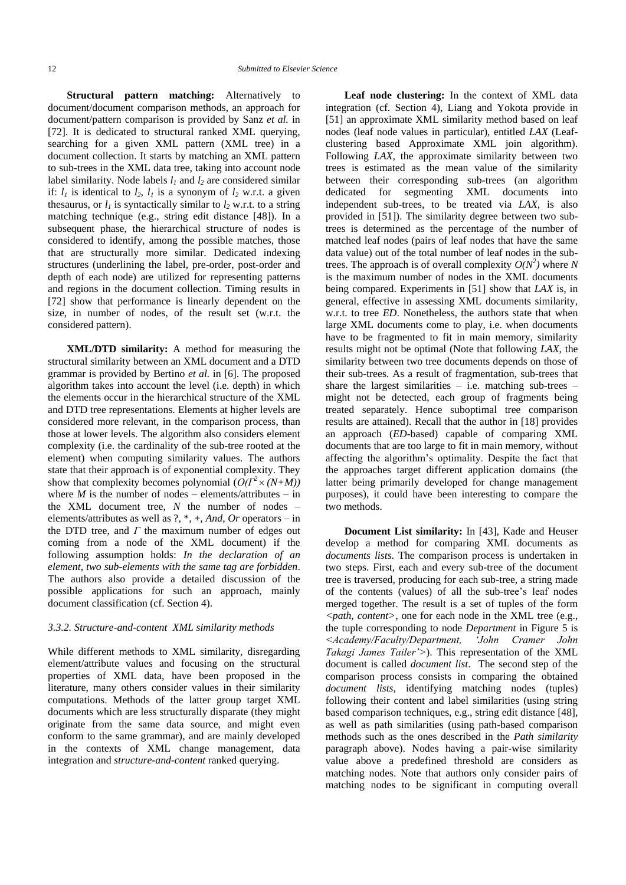**Structural pattern matching:** Alternatively to document/document comparison methods, an approach for document/pattern comparison is provided by Sanz *et al.* in [\[72\].](#page-24-12) It is dedicated to structural ranked XML querying, searching for a given XML pattern (XML tree) in a document collection. It starts by matching an XML pattern to sub-trees in the XML data tree, taking into account node label similarity. Node labels  $l_1$  and  $l_2$  are considered similar if:  $l_1$  is identical to  $l_2$ ,  $l_1$  is a synonym of  $l_2$  w.r.t. a given thesaurus, or  $l_1$  is syntactically similar to  $l_2$  w.r.t. to a string matching technique (e.g., string edit distance [\[48\]\)](#page-23-4). In a subsequent phase, the hierarchical structure of nodes is considered to identify, among the possible matches, those that are structurally more similar. Dedicated indexing structures (underlining the label, pre-order, post-order and depth of each node) are utilized for representing patterns and regions in the document collection. Timing results in [\[72\]](#page-24-12) show that performance is linearly dependent on the size, in number of nodes, of the result set (w.r.t. the considered pattern).

**XML/DTD similarity:** A method for measuring the structural similarity between an XML document and a DTD grammar is provided by Bertino *et al.* in [\[6\].](#page-22-3) The proposed algorithm takes into account the level (i.e. depth) in which the elements occur in the hierarchical structure of the XML and DTD tree representations. Elements at higher levels are considered more relevant, in the comparison process, than those at lower levels. The algorithm also considers element complexity (i.e. the cardinality of the sub-tree rooted at the element) when computing similarity values. The authors state that their approach is of exponential complexity. They show that complexity becomes polynomial  $(O(\Gamma^2 \times (N+M)))$ where  $M$  is the number of nodes – elements/attributes – in the XML document tree,  $N$  the number of nodes  $$ elements/attributes as well as ?, \*, +, *And*, *Or* operators – in the DTD tree, and *Γ* the maximum number of edges out coming from a node of the XML document) if the following assumption holds: *In the declaration of an element, two sub-elements with the same tag are forbidden*. The authors also provide a detailed discussion of the possible applications for such an approach, mainly document classification (cf. Section 4).

#### *3.3.2. Structure-and-content XML similarity methods*

While different methods to XML similarity, disregarding element/attribute values and focusing on the structural properties of XML data, have been proposed in the literature, many others consider values in their similarity computations. Methods of the latter group target XML documents which are less structurally disparate (they might originate from the same data source, and might even conform to the same grammar), and are mainly developed in the contexts of XML change management, data integration and *structure-and-content* ranked querying.

**Leaf node clustering:** In the context of XML data integration (cf. Section 4), Liang and Yokota provide in [\[51\]](#page-23-2) an approximate XML similarity method based on leaf nodes (leaf node values in particular), entitled *LAX* (Leafclustering based Approximate XML join algorithm). Following *LAX*, the approximate similarity between two trees is estimated as the mean value of the similarity between their corresponding sub-trees (an algorithm dedicated for segmenting XML documents into independent sub-trees, to be treated via *LAX*, is also provided in [\[51\]\)](#page-23-2). The similarity degree between two subtrees is determined as the percentage of the number of matched leaf nodes (pairs of leaf nodes that have the same data value) out of the total number of leaf nodes in the subtrees. The approach is of overall complexity  $O(N^2)$  where N is the maximum number of nodes in the XML documents being compared. Experiments in [\[51\]](#page-23-2) show that *LAX* is, in general, effective in assessing XML documents similarity, w.r.t. to tree *ED*. Nonetheless, the authors state that when large XML documents come to play, i.e. when documents have to be fragmented to fit in main memory, similarity results might not be optimal (Note that following *LAX*, the similarity between two tree documents depends on those of their sub-trees. As a result of fragmentation, sub-trees that share the largest similarities  $-$  i.e. matching sub-trees  $$ might not be detected, each group of fragments being treated separately. Hence suboptimal tree comparison results are attained). Recall that the author in [\[18\]](#page-22-7) provides an approach (*ED*-based) capable of comparing XML documents that are too large to fit in main memory, without affecting the algorithm's optimality. Despite the fact that the approaches target different application domains (the latter being primarily developed for change management purposes), it could have been interesting to compare the two methods.

**Document List similarity:** In [\[43\],](#page-23-25) Kade and Heuser develop a method for comparing XML documents as *documents lists*. The comparison process is undertaken in two steps. First, each and every sub-tree of the document tree is traversed, producing for each sub-tree, a string made of the contents (values) of all the sub-tree's leaf nodes merged together. The result is a set of tuples of the form *<path, content>*, one for each node in the XML tree (e.g., the tuple corresponding to node *Department* in Figure 5 is *<Academy/Faculty/Department, "John Cramer John Takagi James Tailer">*). This representation of the XML document is called *document list*. The second step of the comparison process consists in comparing the obtained *document lists*, identifying matching nodes (tuples) following their content and label similarities (using string based comparison techniques, e.g., string edit distance [\[48\],](#page-23-4) as well as path similarities (using path-based comparison methods such as the ones described in the *Path similarity* paragraph above). Nodes having a pair-wise similarity value above a predefined threshold are considers as matching nodes. Note that authors only consider pairs of matching nodes to be significant in computing overall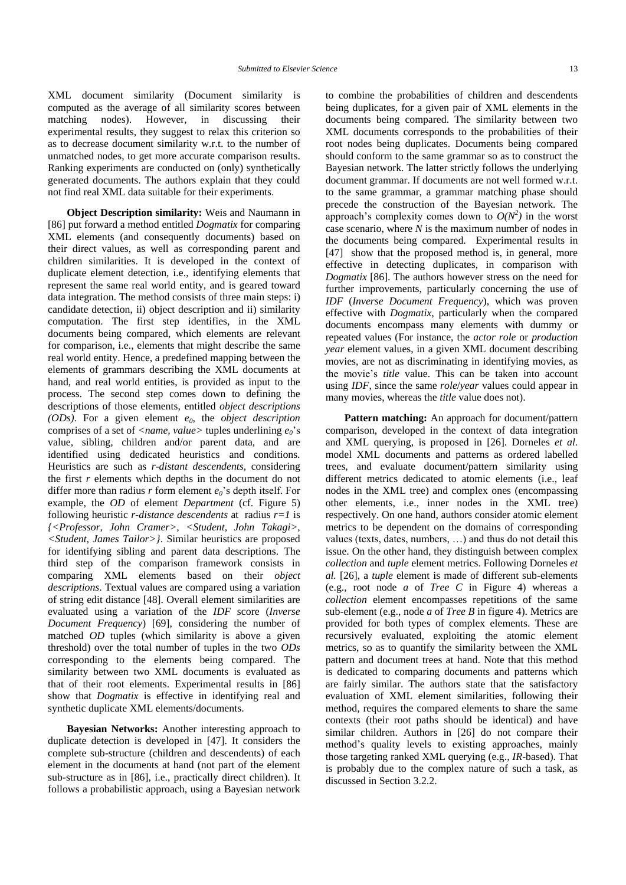XML document similarity (Document similarity is computed as the average of all similarity scores between matching nodes). However, in discussing their experimental results, they suggest to relax this criterion so as to decrease document similarity w.r.t. to the number of unmatched nodes, to get more accurate comparison results. Ranking experiments are conducted on (only) synthetically generated documents. The authors explain that they could not find real XML data suitable for their experiments.

**Object Description similarity:** Weis and Naumann in [\[86\]](#page-24-3) put forward a method entitled *Dogmatix* for comparing XML elements (and consequently documents) based on their direct values, as well as corresponding parent and children similarities. It is developed in the context of duplicate element detection, i.e., identifying elements that represent the same real world entity, and is geared toward data integration. The method consists of three main steps: i) candidate detection, ii) object description and ii) similarity computation. The first step identifies, in the XML documents being compared, which elements are relevant for comparison, i.e., elements that might describe the same real world entity. Hence, a predefined mapping between the elements of grammars describing the XML documents at hand, and real world entities, is provided as input to the process. The second step comes down to defining the descriptions of those elements, entitled *object descriptions (ODs)*. For a given element *e0*, the *object description* comprises of a set of *<name, value>* tuples underlining  $e_0$ 's value, sibling, children and/or parent data, and are identified using dedicated heuristics and conditions. Heuristics are such as *r-distant descendents*, considering the first *r* elements which depths in the document do not differ more than radius *r* form element  $e_0$ 's depth itself. For example, the *OD* of element *Department* (cf. Figure 5) following heuristic *r-distance descendents* at radius *r=1* is *{<Professor, John Cramer>, <Student, John Takagi>, <Student, James Tailor>}*. Similar heuristics are proposed for identifying sibling and parent data descriptions. The third step of the comparison framework consists in comparing XML elements based on their *object descriptions*. Textual values are compared using a variation of string edit distance [\[48\].](#page-23-4) Overall element similarities are evaluated using a variation of the *IDF* score (*Inverse Document Frequency*) [\[69\],](#page-23-7) considering the number of matched *OD* tuples (which similarity is above a given threshold) over the total number of tuples in the two *ODs* corresponding to the elements being compared. The similarity between two XML documents is evaluated as that of their root elements. Experimental results in [\[86\]](#page-24-3) show that *Dogmatix* is effective in identifying real and synthetic duplicate XML elements/documents.

**Bayesian Networks:** Another interesting approach to duplicate detection is developed in [\[47\].](#page-23-3) It considers the complete sub-structure (children and descendents) of each element in the documents at hand (not part of the element sub-structure as in [\[86\],](#page-24-3) i.e., practically direct children). It follows a probabilistic approach, using a Bayesian network to combine the probabilities of children and descendents being duplicates, for a given pair of XML elements in the documents being compared. The similarity between two XML documents corresponds to the probabilities of their root nodes being duplicates. Documents being compared should conform to the same grammar so as to construct the Bayesian network. The latter strictly follows the underlying document grammar. If documents are not well formed w.r.t. to the same grammar, a grammar matching phase should precede the construction of the Bayesian network. The approach's complexity comes down to  $O(N^2)$  in the worst case scenario, where *N* is the maximum number of nodes in the documents being compared. Experimental results in [\[47\]](#page-23-3) show that the proposed method is, in general, more effective in detecting duplicates, in comparison with *Dogmatix* [\[86\].](#page-24-3) The authors however stress on the need for further improvements, particularly concerning the use of *IDF* (*Inverse Document Frequency*), which was proven effective with *Dogmatix*, particularly when the compared documents encompass many elements with dummy or repeated values (For instance, the *actor role* or *production year* element values, in a given XML document describing movies, are not as discriminating in identifying movies, as the movie's *title* value. This can be taken into account using *IDF*, since the same *role*/*year* values could appear in many movies, whereas the *title* value does not).

**Pattern matching:** An approach for document/pattern comparison, developed in the context of data integration and XML querying, is proposed in [\[26\].](#page-22-25) Dorneles *et al.* model XML documents and patterns as ordered labelled trees, and evaluate document/pattern similarity using different metrics dedicated to atomic elements (i.e., leaf nodes in the XML tree) and complex ones (encompassing other elements, i.e., inner nodes in the XML tree) respectively. On one hand, authors consider atomic element metrics to be dependent on the domains of corresponding values (texts, dates, numbers, …) and thus do not detail this issue. On the other hand, they distinguish between complex *collection* and *tuple* element metrics. Following Dorneles *et al.* [\[26\],](#page-22-25) a *tuple* element is made of different sub-elements (e.g., root node *a* of *Tree C* in Figure 4) whereas a *collection* element encompasses repetitions of the same sub-element (e.g., node *a* of *Tree B* in figure 4). Metrics are provided for both types of complex elements. These are recursively evaluated, exploiting the atomic element metrics, so as to quantify the similarity between the XML pattern and document trees at hand. Note that this method is dedicated to comparing documents and patterns which are fairly similar. The authors state that the satisfactory evaluation of XML element similarities, following their method, requires the compared elements to share the same contexts (their root paths should be identical) and have similar children. Authors in [\[26\]](#page-22-25) do not compare their method's quality levels to existing approaches, mainly those targeting ranked XML querying (e.g., *IR*-based). That is probably due to the complex nature of such a task, as discussed in Section 3.2.2.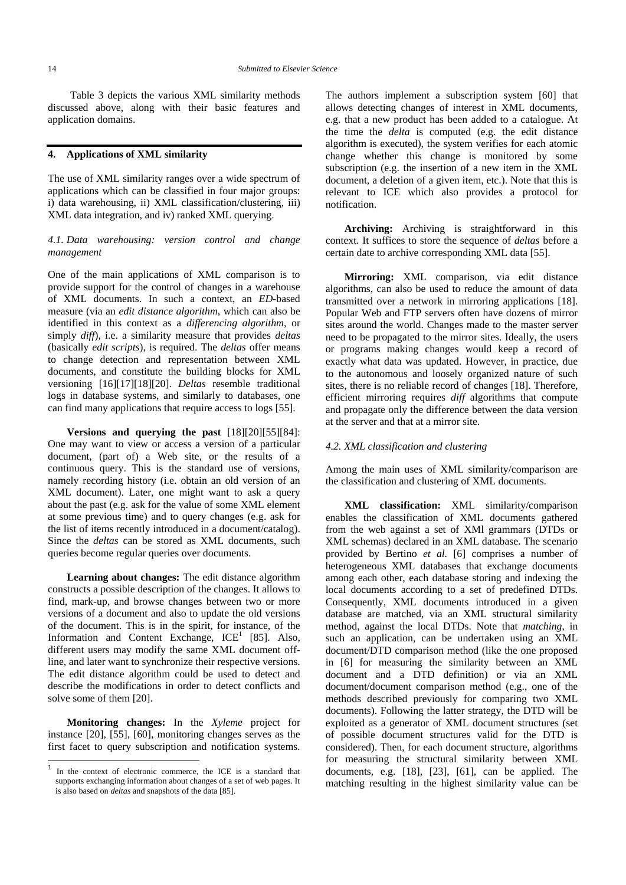Table 3 depicts the various XML similarity methods discussed above, along with their basic features and application domains.

#### **4. Applications of XML similarity**

The use of XML similarity ranges over a wide spectrum of applications which can be classified in four major groups: i) data warehousing, ii) XML classification/clustering, iii) XML data integration, and iv) ranked XML querying.

#### *4.1. Data warehousing: version control and change management*

One of the main applications of XML comparison is to provide support for the control of changes in a warehouse of XML documents. In such a context, an *ED*-based measure (via an *edit distance algorithm*, which can also be identified in this context as a *differencing algorithm*, or simply *diff*), i.e. a similarity measure that provides *deltas* (basically *edit scripts*), is required. The *deltas* offer means to change detection and representation between XML documents, and constitute the building blocks for XML versioning [\[16\]\[17\]](#page-22-4)[\[18\]\[20\].](#page-22-7) *Deltas* resemble traditional logs in database systems, and similarly to databases, one can find many applications that require access to logs [\[55\].](#page-23-26)

**Versions and querying the past** [\[18\]\[20\]](#page-22-7)[\[55\]\[84\]:](#page-23-26) One may want to view or access a version of a particular document, (part of) a Web site, or the results of a continuous query. This is the standard use of versions, namely recording history (i.e. obtain an old version of an XML document). Later, one might want to ask a query about the past (e.g. ask for the value of some XML element at some previous time) and to query changes (e.g. ask for the list of items recently introduced in a document/catalog). Since the *deltas* can be stored as XML documents, such queries become regular queries over documents.

**Learning about changes:** The edit distance algorithm constructs a possible description of the changes. It allows to find, mark-up, and browse changes between two or more versions of a document and also to update the old versions of the document. This is in the spirit, for instance, of the Information and Content Exchange,  $ICE<sup>1</sup>$  [\[85\].](#page-24-13) Also, different users may modify the same XML document offline, and later want to synchronize their respective versions. The edit distance algorithm could be used to detect and describe the modifications in order to detect conflicts and solve some of them [\[20\].](#page-22-5)

**Monitoring changes:** In the *Xyleme* project for instance [\[20\],](#page-22-5) [\[55\],](#page-23-26) [\[60\],](#page-23-27) monitoring changes serves as the first facet to query subscription and notification systems.

l

The authors implement a subscription system [\[60\]](#page-23-27) that allows detecting changes of interest in XML documents, e.g. that a new product has been added to a catalogue. At the time the *delta* is computed (e.g. the edit distance algorithm is executed), the system verifies for each atomic change whether this change is monitored by some subscription (e.g. the insertion of a new item in the XML document, a deletion of a given item, etc.). Note that this is relevant to ICE which also provides a protocol for notification.

**Archiving:** Archiving is straightforward in this context. It suffices to store the sequence of *deltas* before a certain date to archive corresponding XML data [\[55\].](#page-23-26)

**Mirroring:** XML comparison, via edit distance algorithms, can also be used to reduce the amount of data transmitted over a network in mirroring applications [\[18\].](#page-22-7) Popular Web and FTP servers often have dozens of mirror sites around the world. Changes made to the master server need to be propagated to the mirror sites. Ideally, the users or programs making changes would keep a record of exactly what data was updated. However, in practice, due to the autonomous and loosely organized nature of such sites, there is no reliable record of changes [\[18\].](#page-22-7) Therefore, efficient mirroring requires *diff* algorithms that compute and propagate only the difference between the data version at the server and that at a mirror site.

#### *4.2. XML classification and clustering*

Among the main uses of XML similarity/comparison are the classification and clustering of XML documents.

**XML classification:** XML similarity/comparison enables the classification of XML documents gathered from the web against a set of XMl grammars (DTDs or XML schemas) declared in an XML database. The scenario provided by Bertino *et al.* [\[6\]](#page-22-3) comprises a number of heterogeneous XML databases that exchange documents among each other, each database storing and indexing the local documents according to a set of predefined DTDs. Consequently, XML documents introduced in a given database are matched, via an XML structural similarity method, against the local DTDs. Note that *matching*, in such an application, can be undertaken using an XML document/DTD comparison method (like the one proposed in [\[6\]](#page-22-3) for measuring the similarity between an XML document and a DTD definition) or via an XML document/document comparison method (e.g., one of the methods described previously for comparing two XML documents). Following the latter strategy, the DTD will be exploited as a generator of XML document structures (set of possible document structures valid for the DTD is considered). Then, for each document structure, algorithms for measuring the structural similarity between XML documents, e.g. [\[18\],](#page-22-7) [\[23\],](#page-22-2) [\[61\],](#page-23-0) can be applied. The matching resulting in the highest similarity value can be

<sup>1</sup> In the context of electronic commerce, the ICE is a standard that supports exchanging information about changes of a set of web pages. It is also based on *deltas* and snapshots of the data [\[85\].](#page-24-13)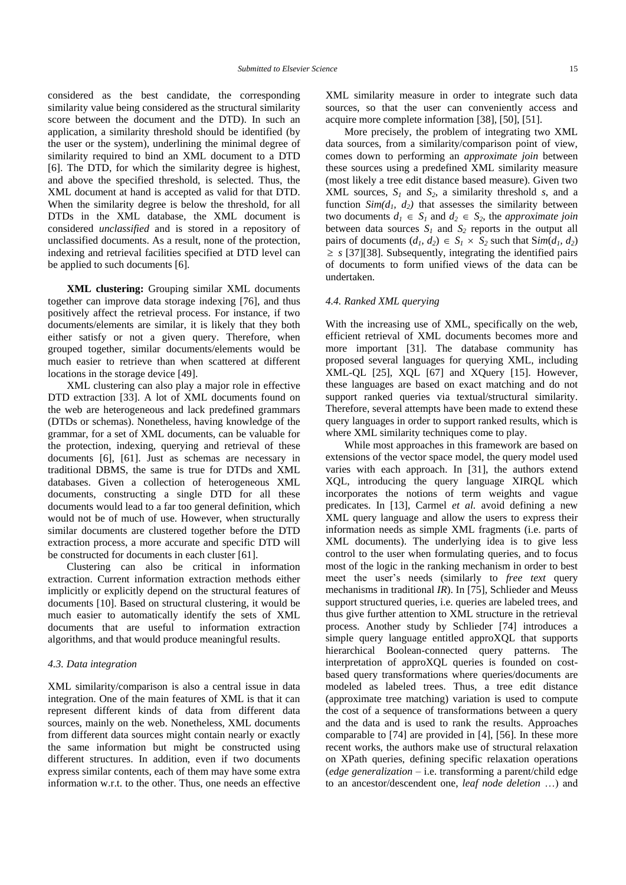considered as the best candidate, the corresponding similarity value being considered as the structural similarity score between the document and the DTD). In such an application, a similarity threshold should be identified (by the user or the system), underlining the minimal degree of similarity required to bind an XML document to a DTD [\[6\].](#page-22-3) The DTD, for which the similarity degree is highest, and above the specified threshold, is selected. Thus, the XML document at hand is accepted as valid for that DTD. When the similarity degree is below the threshold, for all DTDs in the XML database, the XML document is considered *unclassified* and is stored in a repository of unclassified documents. As a result, none of the protection, indexing and retrieval facilities specified at DTD level can be applied to such documents [\[6\].](#page-22-3)

**XML clustering:** Grouping similar XML documents together can improve data storage indexing [\[76\],](#page-24-14) and thus positively affect the retrieval process. For instance, if two documents/elements are similar, it is likely that they both either satisfy or not a given query. Therefore, when grouped together, similar documents/elements would be much easier to retrieve than when scattered at different locations in the storage device [\[49\].](#page-23-20)

XML clustering can also play a major role in effective DTD extraction [\[33\].](#page-22-26) A lot of XML documents found on the web are heterogeneous and lack predefined grammars (DTDs or schemas). Nonetheless, having knowledge of the grammar, for a set of XML documents, can be valuable for the protection, indexing, querying and retrieval of these documents [\[6\],](#page-22-3) [\[61\].](#page-23-0) Just as schemas are necessary in traditional DBMS, the same is true for DTDs and XML databases. Given a collection of heterogeneous XML documents, constructing a single DTD for all these documents would lead to a far too general definition, which would not be of much of use. However, when structurally similar documents are clustered together before the DTD extraction process, a more accurate and specific DTD will be constructed for documents in each cluster [\[61\].](#page-23-0)

Clustering can also be critical in information extraction. Current information extraction methods either implicitly or explicitly depend on the structural features of documents [\[10\].](#page-22-20) Based on structural clustering, it would be much easier to automatically identify the sets of XML documents that are useful to information extraction algorithms, and that would produce meaningful results.

#### *4.3. Data integration*

XML similarity/comparison is also a central issue in data integration. One of the main features of XML is that it can represent different kinds of data from different data sources, mainly on the web. Nonetheless, XML documents from different data sources might contain nearly or exactly the same information but might be constructed using different structures. In addition, even if two documents express similar contents, each of them may have some extra information w.r.t. to the other. Thus, one needs an effective

XML similarity measure in order to integrate such data sources, so that the user can conveniently access and acquire more complete information [\[38\],](#page-23-28) [\[50\],](#page-23-29) [\[51\].](#page-23-2)

More precisely, the problem of integrating two XML data sources, from a similarity/comparison point of view, comes down to performing an *approximate join* between these sources using a predefined XML similarity measure (most likely a tree edit distance based measure). Given two XML sources,  $S_I$  and  $S_2$ , a similarity threshold *s*, and a function  $Sim(d_1, d_2)$  that assesses the similarity between two documents  $d_1 \in S_1$  and  $d_2 \in S_2$ , the *approximate join* between data sources  $S_I$  and  $S_2$  reports in the output all pairs of documents  $(d_1, d_2) \in S_1 \times S_2$  such that  $\text{Sim}(d_1, d_2)$  $\geq$  *s* [\[37\]\[38\].](#page-23-1) Subsequently, integrating the identified pairs of documents to form unified views of the data can be undertaken.

#### *4.4. Ranked XML querying*

With the increasing use of XML, specifically on the web, efficient retrieval of XML documents becomes more and more important [\[31\].](#page-22-1) The database community has proposed several languages for querying XML, including XML-QL [\[25\],](#page-22-27) XQL [\[67\]](#page-23-30) and XQuery [\[15\].](#page-22-28) However, these languages are based on exact matching and do not support ranked queries via textual/structural similarity. Therefore, several attempts have been made to extend these query languages in order to support ranked results, which is where XML similarity techniques come to play.

While most approaches in this framework are based on extensions of the vector space model, the query model used varies with each approach. In [\[31\],](#page-22-1) the authors extend XQL, introducing the query language XIRQL which incorporates the notions of term weights and vague predicates. In [\[13\],](#page-22-18) Carmel *et al.* avoid defining a new XML query language and allow the users to express their information needs as simple XML fragments (i.e. parts of XML documents). The underlying idea is to give less control to the user when formulating queries, and to focus most of the logic in the ranking mechanism in order to best meet the user's needs (similarly to *free text* query mechanisms in traditional *IR*). In [\[75\],](#page-24-11) Schlieder and Meuss support structured queries, i.e. queries are labeled trees, and thus give further attention to XML structure in the retrieval process. Another study by Schlieder [\[74\]](#page-24-2) introduces a simple query language entitled approXQL that supports hierarchical Boolean-connected query patterns. The interpretation of approXQL queries is founded on costbased query transformations where queries/documents are modeled as labeled trees. Thus, a tree edit distance (approximate tree matching) variation is used to compute the cost of a sequence of transformations between a query and the data and is used to rank the results. Approaches comparable to [\[74\]](#page-24-2) are provided in [\[4\],](#page-22-19) [\[56\].](#page-23-15) In these more recent works, the authors make use of structural relaxation on XPath queries, defining specific relaxation operations (*edge generalization* – i.e. transforming a parent/child edge to an ancestor/descendent one, *leaf node deletion* …) and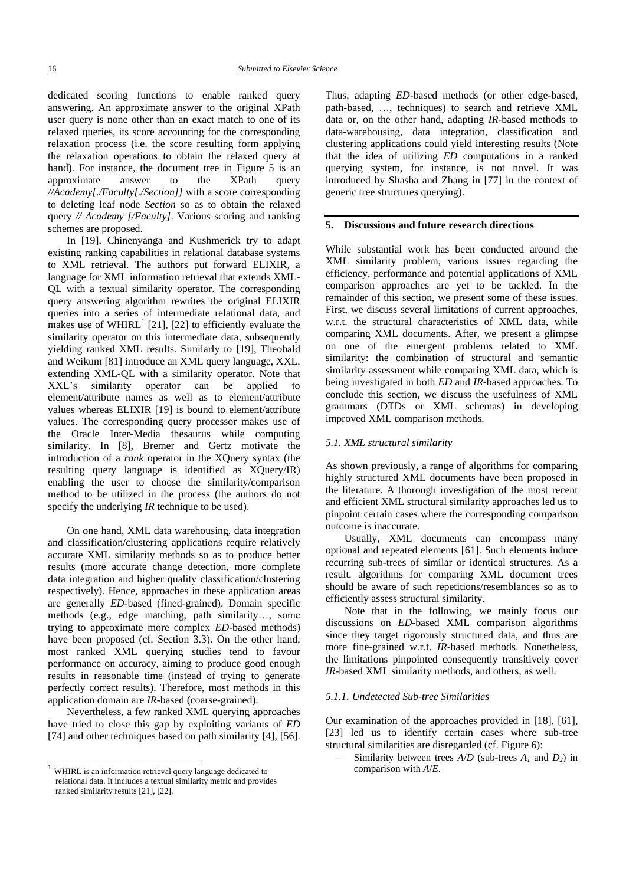dedicated scoring functions to enable ranked query answering. An approximate answer to the original XPath user query is none other than an exact match to one of its relaxed queries, its score accounting for the corresponding relaxation process (i.e. the score resulting form applying the relaxation operations to obtain the relaxed query at hand). For instance, the document tree in Figure 5 is an approximate answer to the XPath query *//Academy[./Faculty[./Section]]* with a score corresponding to deleting leaf node *Section* so as to obtain the relaxed query *// Academy [/Faculty]*. Various scoring and ranking schemes are proposed.

In [\[19\],](#page-22-14) Chinenyanga and Kushmerick try to adapt existing ranking capabilities in relational database systems to XML retrieval. The authors put forward ELIXIR, a language for XML information retrieval that extends XML-QL with a textual similarity operator. The corresponding query answering algorithm rewrites the original ELIXIR queries into a series of intermediate relational data, and makes use of  $WHIRL<sup>1</sup>$  [\[21\],](#page-22-15) [\[22\]](#page-22-29) to efficiently evaluate the similarity operator on this intermediate data, subsequently yielding ranked XML results. Similarly to [\[19\],](#page-22-14) Theobald and Weiku[m \[81\]](#page-24-15) introduce an XML query language, XXL, extending XML-QL with a similarity operator. Note that XXL's similarity operator can be applied to XXL's similarity operator can be applied to element/attribute names as well as to element/attribute values whereas ELIXIR [\[19\]](#page-22-14) is bound to element/attribute values. The corresponding query processor makes use of the Oracle Inter-Media thesaurus while computing similarity. In [\[8\],](#page-22-30) Bremer and Gertz motivate the introduction of a *rank* operator in the XQuery syntax (the resulting query language is identified as XQuery/IR) enabling the user to choose the similarity/comparison method to be utilized in the process (the authors do not specify the underlying *IR* technique to be used).

On one hand, XML data warehousing, data integration and classification/clustering applications require relatively accurate XML similarity methods so as to produce better results (more accurate change detection, more complete data integration and higher quality classification/clustering respectively). Hence, approaches in these application areas are generally *ED*-based (fined-grained). Domain specific methods (e.g., edge matching, path similarity…, some trying to approximate more complex *ED*-based methods) have been proposed (cf. Section 3.3). On the other hand, most ranked XML querying studies tend to favour performance on accuracy, aiming to produce good enough results in reasonable time (instead of trying to generate perfectly correct results). Therefore, most methods in this application domain are *IR*-based (coarse-grained).

Nevertheless, a few ranked XML querying approaches have tried to close this gap by exploiting variants of *ED* [\[74\]](#page-24-2) and other techniques based on path similarity [\[4\],](#page-22-19) [\[56\].](#page-23-15)

l

Thus, adapting *ED*-based methods (or other edge-based, path-based, …, techniques) to search and retrieve XML data or, on the other hand, adapting *IR*-based methods to data-warehousing, data integration, classification and clustering applications could yield interesting results (Note that the idea of utilizing *ED* computations in a ranked querying system, for instance, is not novel. It was introduced by Shasha and Zhang in [\[77\]](#page-24-8) in the context of generic tree structures querying).

#### **5. Discussions and future research directions**

While substantial work has been conducted around the XML similarity problem, various issues regarding the efficiency, performance and potential applications of XML comparison approaches are yet to be tackled. In the remainder of this section, we present some of these issues. First, we discuss several limitations of current approaches, w.r.t. the structural characteristics of XML data, while comparing XML documents. After, we present a glimpse on one of the emergent problems related to XML similarity: the combination of structural and semantic similarity assessment while comparing XML data, which is being investigated in both *ED* and *IR*-based approaches. To conclude this section, we discuss the usefulness of XML grammars (DTDs or XML schemas) in developing improved XML comparison methods.

#### *5.1. XML structural similarity*

As shown previously, a range of algorithms for comparing highly structured XML documents have been proposed in the literature. A thorough investigation of the most recent and efficient XML structural similarity approaches led us to pinpoint certain cases where the corresponding comparison outcome is inaccurate.

Usually, XML documents can encompass many optional and repeated elements [\[61\].](#page-23-0) Such elements induce recurring sub-trees of similar or identical structures. As a result, algorithms for comparing XML document trees should be aware of such repetitions/resemblances so as to efficiently assess structural similarity.

Note that in the following, we mainly focus our discussions on *ED*-based XML comparison algorithms since they target rigorously structured data, and thus are more fine-grained w.r.t. *IR*-based methods. Nonetheless, the limitations pinpointed consequently transitively cover *IR*-based XML similarity methods, and others, as well.

#### *5.1.1. Undetected Sub-tree Similarities*

Our examination of the approaches provided in [\[18\],](#page-22-7) [\[61\],](#page-23-0) [\[23\]](#page-22-2) led us to identify certain cases where sub-tree structural similarities are disregarded (cf. Figure 6):

Similarity between trees  $A/D$  (sub-trees  $A<sub>1</sub>$  and  $D<sub>2</sub>$ ) in comparison with *A*/*E*.

<sup>1</sup> WHIRL is an information retrieval query language dedicated to relational data. It includes a textual similarity metric and provides ranked similarity result[s \[21\],](#page-22-15) [\[22\].](#page-22-29)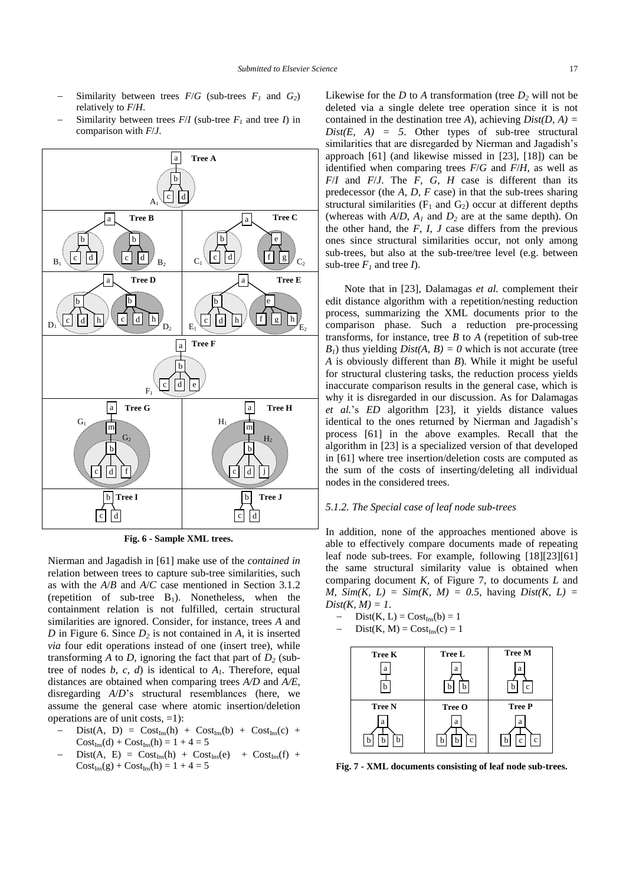- Similarity between trees  $F/G$  (sub-trees  $F_I$  and  $G_2$ ) relatively to *F*/*H*.
- Similarity between trees  $F/I$  (sub-tree  $F_I$  and tree *I*) in comparison with *F*/*J*.



**Fig. 6 - Sample XML trees.**

Nierman and Jagadish in [\[61\]](#page-23-0) make use of the *contained in* relation between trees to capture sub-tree similarities, such as with the *A*/*B* and *A*/*C* case mentioned in Section 3.1.2 (repetition of sub-tree  $B_1$ ). Nonetheless, when the containment relation is not fulfilled, certain structural similarities are ignored. Consider, for instance, trees *A* and *D* in Figure 6. Since *D<sup>2</sup>* is not contained in *A*, it is inserted *via* four edit operations instead of one (insert tree), while transforming *A* to *D*, ignoring the fact that part of  $D_2$  (subtree of nodes  $b, c, d$  is identical to  $A<sub>1</sub>$ . Therefore, equal distances are obtained when comparing trees *A/D* and *A/E*, disregarding *A*/*D*'s structural resemblances (here, we assume the general case where atomic insertion/deletion operations are of unit costs,  $=1$ ):

- $Dist(A, D) = Cost_{Ins}(h) + Cost_{Ins}(b) + Cost_{Ins}(c) +$  $Cost<sub>Ins</sub>(d) + Cost<sub>Ins</sub>(h) = 1 + 4 = 5$
- $Dist(A, E) = Cost_{Ins}(h) + Cost_{Ins}(e) + Cost_{Ins}(f) +$  $Cost<sub>Ins</sub>(g) + Cost<sub>Ins</sub>(h) = 1 + 4 = 5$

Likewise for the *D* to *A* transformation (tree  $D_2$  will not be deleted via a single delete tree operation since it is not contained in the destination tree *A*), achieving *Dist(D, A) =*   $Dist(E, A) = 5$ . Other types of sub-tree structural similarities that are disregarded by Nierman and Jagadish's approach [\[61\]](#page-23-0) (and likewise missed in [\[23\],](#page-22-2) [\[18\]\)](#page-22-7) can be identified when comparing trees *F*/*G* and *F*/*H*, as well as *F*/*I* and *F*/*J*. The *F*, *G*, *H* case is different than its predecessor (the *A*, *D*, *F* case) in that the sub-trees sharing structural similarities ( $F_1$  and  $G_2$ ) occur at different depths (whereas with  $A/D$ ,  $A<sub>1</sub>$  and  $D<sub>2</sub>$  are at the same depth). On the other hand, the  $F$ ,  $I$ ,  $J$  case differs from the previous ones since structural similarities occur, not only among sub-trees, but also at the sub-tree/tree level (e.g. between sub-tree  $F_I$  and tree  $I$ ).

Note that in [\[23\],](#page-22-2) Dalamagas *et al.* complement their edit distance algorithm with a repetition/nesting reduction process, summarizing the XML documents prior to the comparison phase. Such a reduction pre-processing transforms, for instance, tree *B* to *A* (repetition of sub-tree  $B_1$ ) thus yielding *Dist(A, B)* = 0 which is not accurate (tree *A* is obviously different than *B*). While it might be useful for structural clustering tasks, the reduction process yields inaccurate comparison results in the general case, which is why it is disregarded in our discussion. As for Dalamagas *et al.*'s *ED* algorithm [\[23\],](#page-22-2) it yields distance values identical to the ones returned by Nierman and Jagadish's process [\[61\]](#page-23-0) in the above examples. Recall that the algorithm in [\[23\]](#page-22-2) is a specialized version of that developed in [\[61\]](#page-23-0) where tree insertion/deletion costs are computed as the sum of the costs of inserting/deleting all individual nodes in the considered trees.

#### *5.1.2. The Special case of leaf node sub-trees*

In addition, none of the approaches mentioned above is able to effectively compare documents made of repeating leaf node sub-trees. For example, following [\[18\]\[23\]](#page-22-7)[\[61\]](#page-23-0) the same structural similarity value is obtained when comparing document *K*, of Figure 7, to documents *L* and *M, Sim(K, L) = Sim(K, M) = 0.5, having Dist(K, L) =*  $Dist(K, M) = 1$ .

$$
- \quad Dist(K, L) = Cost_{Ins}(b) = 1
$$

$$
- \tDist(K, M) = CostIns(c) = 1
$$

| <b>Tree K</b><br>a<br>h | Tree L<br>a                            | <b>Tree M</b><br>a<br>b<br>$\mathbf{c}$ |  |  |
|-------------------------|----------------------------------------|-----------------------------------------|--|--|
| <b>Tree N</b><br>a<br>h | Tree O<br>a<br>h<br>h<br>$\mathcal{C}$ | <b>Tree P</b><br>a<br>$\mathbf{c}$      |  |  |

**Fig. 7 - XML documents consisting of leaf node sub-trees.**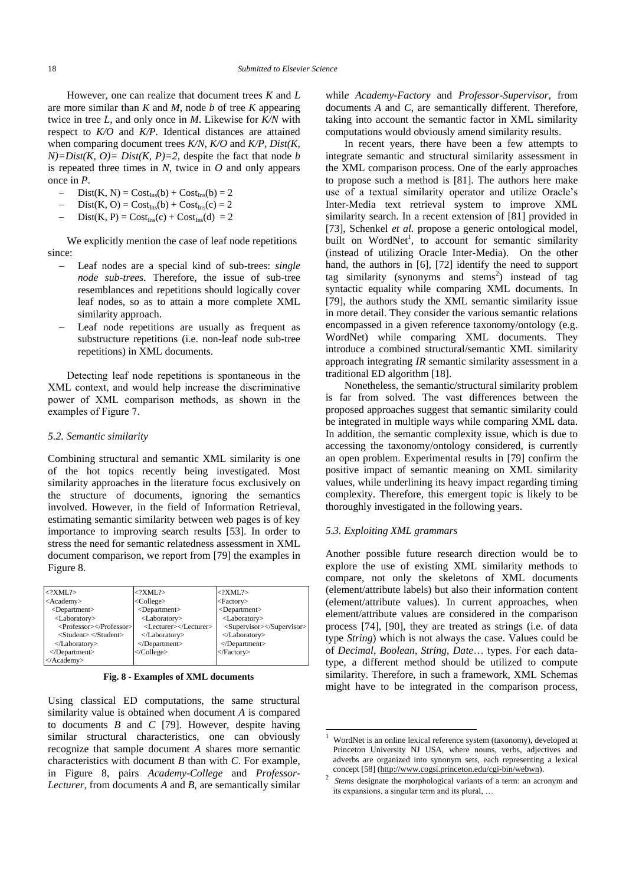However, one can realize that document trees *K* and *L* are more similar than *K* and *M*, node *b* of tree *K* appearing twice in tree *L*, and only once in *M*. Likewise for *K/N* with respect to *K/O* and *K/P.* Identical distances are attained when comparing document trees *K/N, K/O* and *K/P, Dist(K,*   $N$ = $Dist(K, O)$ =  $Dist(K, P)$ =2, despite the fact that node *b* is repeated three times in *N*, twice in *O* and only appears once in *P*.

- $Dist(K, N) = Cost_{Ins}(b) + Cost_{Ins}(b) = 2$
- $Dist(K, O) = Cost_{Ins}(b) + Cost_{Ins}(c) = 2$
- $Dist(K, P) = Cost_{Ins}(c) + Cost_{Ins}(d) = 2$

We explicitly mention the case of leaf node repetitions since:

- Leaf nodes are a special kind of sub-trees: *single node sub-trees*. Therefore, the issue of sub-tree resemblances and repetitions should logically cover leaf nodes, so as to attain a more complete XML similarity approach.
- Leaf node repetitions are usually as frequent as substructure repetitions (i.e. non-leaf node sub-tree repetitions) in XML documents.

Detecting leaf node repetitions is spontaneous in the XML context, and would help increase the discriminative power of XML comparison methods, as shown in the examples of Figure 7.

#### *5.2. Semantic similarity*

Combining structural and semantic XML similarity is one of the hot topics recently being investigated. Most similarity approaches in the literature focus exclusively on the structure of documents, ignoring the semantics involved. However, in the field of Information Retrieval, estimating semantic similarity between web pages is of key importance to improving search results [\[53\].](#page-23-31) In order to stress the need for semantic relatedness assessment in XML document comparison, we report from [\[79\]](#page-24-9) the examples in Figure 8.

| $\langle$ ?XML?>                                      | $\langle$ ?XML?>          | $\langle$ ?XML?>          |
|-------------------------------------------------------|---------------------------|---------------------------|
| <academy></academy>                                   | <college></college>       | <factory></factory>       |
| <department></department>                             | <department></department> | <department></department> |
| <laboratory></laboratory>                             | <laboratory></laboratory> | <laboratory></laboratory> |
| <professor></professor>                               | <lecturer></lecturer>     | <supervisor></supervisor> |
| $\langle$ Student $\rangle \langle$ Student $\rangle$ |                           |                           |
|                                                       | $<$ Department>           | $<$ Department>           |
| $<$ Department>                                       |                           |                           |
|                                                       |                           |                           |

**Fig. 8 - Examples of XML documents**

Using classical ED computations, the same structural similarity value is obtained when document *A* is compared to documents *B* and *C* [\[79\].](#page-24-9) However, despite having similar structural characteristics, one can obviously recognize that sample document *A* shares more semantic characteristics with document *B* than with *C*. For example, in Figure 8, pairs *Academy-College* and *Professor-Lecturer*, from documents *A* and *B*, are semantically similar

whil*e Academy-Factory* and *Professor-Supervisor*, from documents *A* and *C*, are semantically different. Therefore, taking into account the semantic factor in XML similarity computations would obviously amend similarity results.

In recent years, there have been a few attempts to integrate semantic and structural similarity assessment in the XML comparison process. One of the early approaches to propose such a method is [\[81\].](#page-24-15) The authors here make use of a textual similarity operator and utilize Oracle's Inter-Media text retrieval system to improve XML similarity search. In a recent extension of [\[81\]](#page-24-15) provided in [\[73\],](#page-24-16) Schenkel *et al.* propose a generic ontological model, built on WordNet<sup>1</sup>, to account for semantic similarity (instead of utilizing Oracle Inter-Media). On the other hand, the authors in [\[6\],](#page-22-3) [\[72\]](#page-24-12) identify the need to support tag similarity (synonyms and stems<sup>2</sup>) instead of tag syntactic equality while comparing XML documents. In [\[79\],](#page-24-9) the authors study the XML semantic similarity issue in more detail. They consider the various semantic relations encompassed in a given reference taxonomy/ontology (e.g. WordNet) while comparing XML documents. They introduce a combined structural/semantic XML similarity approach integrating *IR* semantic similarity assessment in a traditional ED algorithm [\[18\].](#page-22-7)

Nonetheless, the semantic/structural similarity problem is far from solved. The vast differences between the proposed approaches suggest that semantic similarity could be integrated in multiple ways while comparing XML data. In addition, the semantic complexity issue, which is due to accessing the taxonomy/ontology considered, is currently an open problem. Experimental results in [\[79\]](#page-24-9) confirm the positive impact of semantic meaning on XML similarity values, while underlining its heavy impact regarding timing complexity. Therefore, this emergent topic is likely to be thoroughly investigated in the following years.

#### *5.3. Exploiting XML grammars*

1

Another possible future research direction would be to explore the use of existing XML similarity methods to compare, not only the skeletons of XML documents (element/attribute labels) but also their information content (element/attribute values). In current approaches, when element/attribute values are considered in the comparison process [\[74\],](#page-24-2) [\[90\],](#page-24-1) they are treated as strings (i.e. of data type *String*) which is not always the case. Values could be of *Decimal*, *Boolean*, *String*, *Date*… types. For each datatype, a different method should be utilized to compute similarity. Therefore, in such a framework, XML Schemas might have to be integrated in the comparison process,

<sup>1</sup> WordNet is an online lexical reference system (taxonomy), developed at Princeton University NJ USA, where nouns, verbs, adjectives and adverbs are organized into synonym sets, each representing a lexical concep[t \[58\]](#page-23-32) (http://www.cogsi.princeton.edu/cgi-bin/webwn). 2

*Stems* designate the morphological variants of a term: an acronym and its expansions, a singular term and its plural, …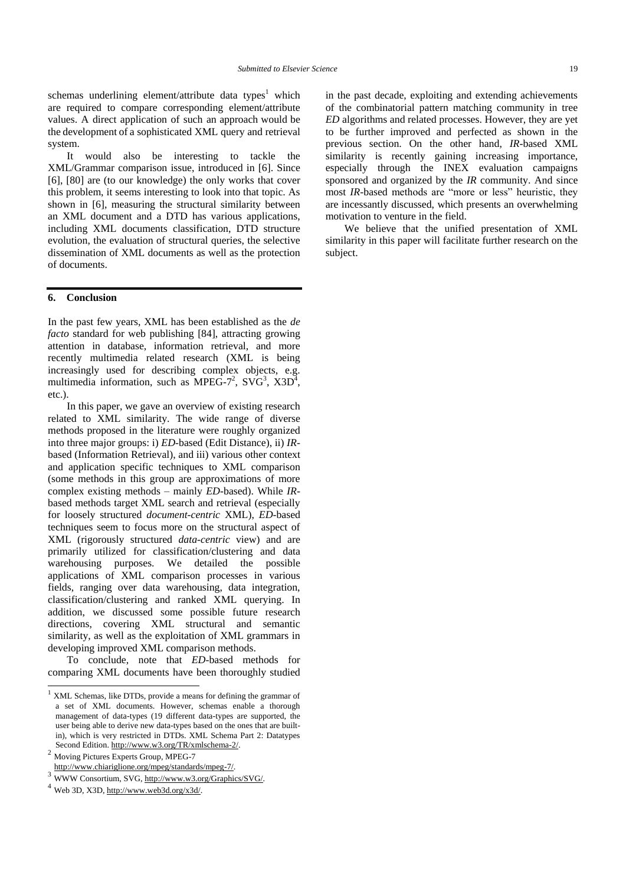schemas underlining element/attribute data types<sup>1</sup> which are required to compare corresponding element/attribute values. A direct application of such an approach would be the development of a sophisticated XML query and retrieval system.

It would also be interesting to tackle the XML/Grammar comparison issue, introduced in [\[6\].](#page-22-3) Since [\[6\],](#page-22-3) [\[80\]](#page-24-10) are (to our knowledge) the only works that cover this problem, it seems interesting to look into that topic. As shown in [\[6\],](#page-22-3) measuring the structural similarity between an XML document and a DTD has various applications, including XML documents classification, DTD structure evolution, the evaluation of structural queries, the selective dissemination of XML documents as well as the protection of documents.

#### **6. Conclusion**

In the past few years, XML has been established as the *de facto* standard for web publishing [\[84\],](#page-24-17) attracting growing attention in database, information retrieval, and more recently multimedia related research (XML is being increasingly used for describing complex objects, e.g. multimedia information, such as MPEG-7<sup>2</sup>, SVG<sup>3</sup>, X3D<sup>4</sup>, etc.).

In this paper, we gave an overview of existing research related to XML similarity. The wide range of diverse methods proposed in the literature were roughly organized into three major groups: i) *ED-*based (Edit Distance), ii) *IR*based (Information Retrieval), and iii) various other context and application specific techniques to XML comparison (some methods in this group are approximations of more complex existing methods – mainly *ED*-based). While *IR*based methods target XML search and retrieval (especially for loosely structured *document-centric* XML), *ED*-based techniques seem to focus more on the structural aspect of XML (rigorously structured *data-centric* view) and are primarily utilized for classification/clustering and data warehousing purposes. We detailed the possible applications of XML comparison processes in various fields, ranging over data warehousing, data integration, classification/clustering and ranked XML querying. In addition, we discussed some possible future research directions, covering XML structural and semantic similarity, as well as the exploitation of XML grammars in developing improved XML comparison methods.

To conclude, note that *ED*-based methods for comparing XML documents have been thoroughly studied

<sup>2</sup> Moving Pictures Experts Group, MPEG-7 http://www.chiariglione.org/mpeg/standards/mpeg-7/.

l

in the past decade, exploiting and extending achievements of the combinatorial pattern matching community in tree *ED* algorithms and related processes. However, they are yet to be further improved and perfected as shown in the previous section. On the other hand, *IR*-based XML similarity is recently gaining increasing importance, especially through the INEX evaluation campaigns sponsored and organized by the *IR* community. And since most *IR-*based methods are "more or less" heuristic, they are incessantly discussed, which presents an overwhelming motivation to venture in the field.

We believe that the unified presentation of XML similarity in this paper will facilitate further research on the subject.

 $1$  XML Schemas, like DTDs, provide a means for defining the grammar of a set of XML documents. However, schemas enable a thorough management of data-types (19 different data-types are supported, the user being able to derive new data-types based on the ones that are builtin), which is very restricted in DTDs. XML Schema Part 2: Datatypes Second Edition. http://www.w3.org/TR/xmlschema-2/.

<sup>3</sup> WWW Consortium, SVG, http://www.w3.org/Graphics/SVG/.

 $4$  Web 3D, X3D, [http://www.web3d.org/x3d/.](http://www.web3d.org/x3d/)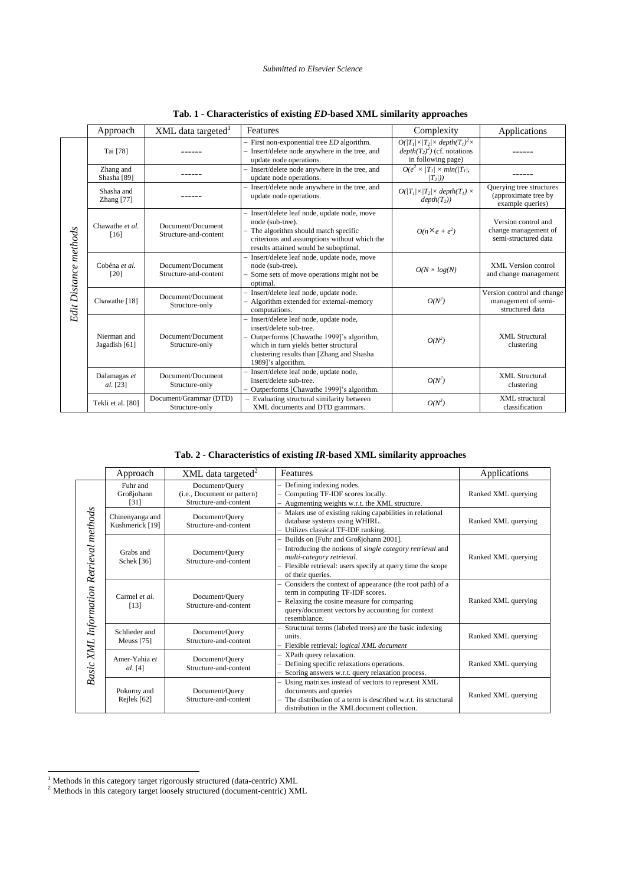#### *Submitted to Elsevier Science*

|                       | Approach                            | XML data targeted <sup>1</sup>             | Features                                                                                                                                                                                                                  | Complexity                                                                                            | Applications                                                         |
|-----------------------|-------------------------------------|--------------------------------------------|---------------------------------------------------------------------------------------------------------------------------------------------------------------------------------------------------------------------------|-------------------------------------------------------------------------------------------------------|----------------------------------------------------------------------|
| Edit Distance methods | Tai [78]                            |                                            | $-$ First non-exponential tree $ED$ algorithm.<br>- Insert/delete node anywhere in the tree, and<br>update node operations.                                                                                               | $O( T_1/\times T_2 \times depth(T_1)^2\times$<br>$depth(T_2)^2)$ (cf. notations<br>in following page) |                                                                      |
|                       | Zhang and<br>Shasha <sup>[89]</sup> |                                            | - Insert/delete node anywhere in the tree, and<br>$O(e^2 \times  T_I  \times min( T_I ,$<br>update node operations.<br>$(T_2))$                                                                                           |                                                                                                       |                                                                      |
|                       | Shasha and<br>Zhang [77]            |                                            | Insert/delete node anywhere in the tree, and<br>update node operations.                                                                                                                                                   | $O( T_1  \times  T_2  \times depth(T_1) \times$<br>$depth(T_2))$                                      | Ouerving tree structures<br>(approximate tree by<br>example queries) |
|                       | Chawathe et al.<br>[16]             | Document/Document<br>Structure-and-content | Insert/delete leaf node, update node, move<br>node (sub-tree).<br>- The algorithm should match specific<br>criterions and assumptions without which the<br>results attained would be suboptimal.                          | $O(n \times e + e^2)$                                                                                 | Version control and<br>change management of<br>semi-structured data  |
|                       | Cobéna et al.<br>[20]               | Document/Document<br>Structure-and-content | Insert/delete leaf node, update node, move<br>node (sub-tree).<br>Some sets of move operations might not be<br>optimal.                                                                                                   | $O(N \times log(N))$                                                                                  | <b>XML</b> Version control<br>and change management                  |
|                       | Chawathe <sup>[18]</sup>            | Document/Document<br>Structure-only        | Insert/delete leaf node, update node.<br>Algorithm extended for external-memory<br>computations.                                                                                                                          | $O(N^2)$                                                                                              | Version control and change<br>management of semi-<br>structured data |
|                       | Nierman and<br>Jagadish [61]        | Document/Document<br>Structure-only        | Insert/delete leaf node, update node,<br>insert/delete sub-tree.<br>Outperforms [Chawathe 1999]'s algorithm,<br>which in turn yields better structural<br>clustering results than [Zhang and Shasha<br>1989]'s algorithm. | $O(N^2)$                                                                                              | XML Structural<br>clustering                                         |
|                       | Dalamagas et<br>al. [23]            | Document/Document<br>Structure-only        | Insert/delete leaf node, update node,<br>insert/delete sub-tree.<br>Outperforms [Chawathe 1999]'s algorithm.                                                                                                              | $O(N^2)$                                                                                              | <b>XML</b> Structural<br>clustering                                  |
|                       | Tekli et al. [80]                   | Document/Grammar (DTD)<br>Structure-only   | Evaluating structural similarity between<br>XML documents and DTD grammars.                                                                                                                                               | $O(N^3)$                                                                                              | XML structural<br>classification                                     |

|  |  | Tab. 1 - Characteristics of existing ED-based XML similarity approaches |  |  |  |  |  |
|--|--|-------------------------------------------------------------------------|--|--|--|--|--|
|--|--|-------------------------------------------------------------------------|--|--|--|--|--|

### **Tab. 2 - Characteristics of existing** *IR***-based XML similarity approaches**

|                                         | Approach                           | $XML$ data targeted <sup>2</sup>                                       | <b>Features</b>                                                                                                                                                                                                      | Applications        |
|-----------------------------------------|------------------------------------|------------------------------------------------------------------------|----------------------------------------------------------------------------------------------------------------------------------------------------------------------------------------------------------------------|---------------------|
| Basic XML Information Retrieval methods | Fuhr and<br>Großjohann<br>[31]     | Document/Query<br>(i.e., Document or pattern)<br>Structure-and-content | - Defining indexing nodes.<br>Computing TF-IDF scores locally.<br>- Augmenting weights w.r.t. the XML structure.                                                                                                     | Ranked XML querying |
|                                         | Chinenyanga and<br>Kushmerick [19] | Document/Query<br>Structure-and-content                                | - Makes use of existing raking capabilities in relational<br>database systems using WHIRL.<br>- Utilizes classical TF-IDF ranking.                                                                                   | Ranked XML querying |
|                                         | Grabs and<br>Schek [36]            | Document/Query<br>Structure-and-content                                | - Builds on [Fuhr and Großjohann 2001].<br>Introducing the notions of single category retrieval and<br>multi-category retrieval.<br>- Flexible retrieval: users specify at query time the scope<br>of their queries. | Ranked XML querying |
|                                         | Carmel et al.<br>[13]              | Document/Query<br>Structure-and-content                                | - Considers the context of appearance (the root path) of a<br>term in computing TF-IDF scores.<br>Relaxing the cosine measure for comparing<br>query/document vectors by accounting for context<br>resemblance       | Ranked XML querying |
|                                         | Schlieder and<br>Meuss $[75]$      | Document/Query<br>Structure-and-content                                | Structural terms (labeled trees) are the basic indexing<br>units.<br>Flexible retrieval: logical XML document                                                                                                        | Ranked XML querying |
|                                         | Amer-Yahia et<br><i>al.</i> [4]    | Document/Query<br>Structure-and-content                                | XPath query relaxation.<br>Defining specific relaxations operations.<br>Scoring answers w.r.t. query relaxation process.                                                                                             | Ranked XML querying |
|                                         | Pokorny and<br>Rejlek [62]         | Document/Query<br>Structure-and-content                                | Using matrixes instead of vectors to represent XML<br>documents and queries<br>- The distribution of a term is described w.r.t. its structural<br>distribution in the XML document collection.                       | Ranked XML querying |

l

 $1$  Methods in this category target rigorously structured (data-centric) XML

<sup>&</sup>lt;sup>2</sup> Methods in this category target loosely structured (document-centric) XML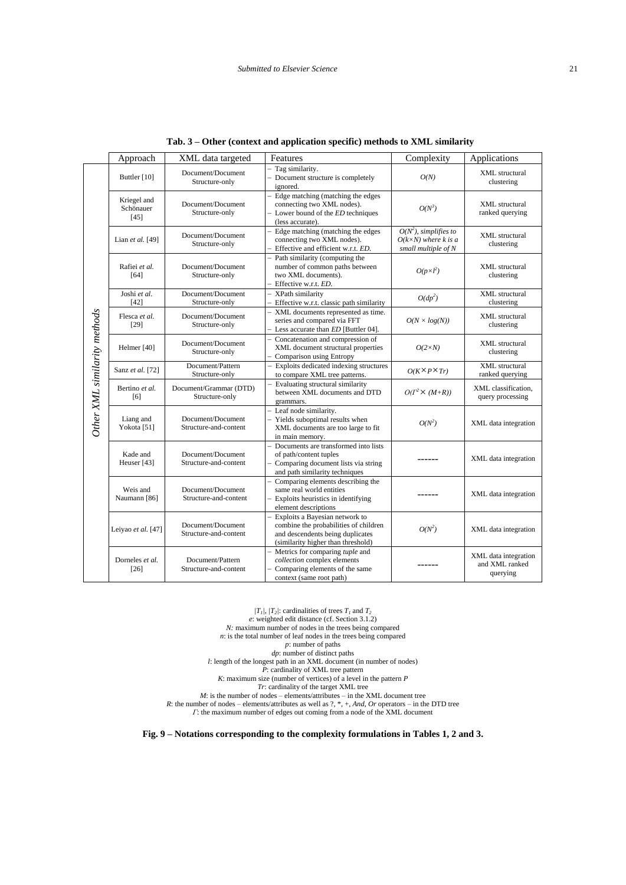|                              | Approach                                                                                                                                                                                                   | XML data targeted                                                                                      | Features                                                                                                                                          | Complexity                                                                     | Applications                                       |
|------------------------------|------------------------------------------------------------------------------------------------------------------------------------------------------------------------------------------------------------|--------------------------------------------------------------------------------------------------------|---------------------------------------------------------------------------------------------------------------------------------------------------|--------------------------------------------------------------------------------|----------------------------------------------------|
|                              | Buttler [10]                                                                                                                                                                                               | Tag similarity.<br>Document/Document<br>Document structure is completely<br>Structure-only<br>ignored. |                                                                                                                                                   | O(N)                                                                           | XML structural<br>clustering                       |
|                              | Edge matching (matching the edges<br>Kriegel and<br>connecting two XML nodes).<br>Document/Document<br>Schönauer<br>Structure-only<br>$-$ Lower bound of the $ED$ techniques<br>$[45]$<br>(less accurate). |                                                                                                        | $O(N^3)$                                                                                                                                          | <b>XML</b> structural<br>ranked querying                                       |                                                    |
|                              | Lian et al. [49]                                                                                                                                                                                           | Document/Document<br>Structure-only                                                                    | Edge matching (matching the edges<br>connecting two XML nodes).<br>- Effective and efficient w.r.t. ED.                                           | $O(N^2)$ , simplifies to<br>$O(k\times N)$ where k is a<br>small multiple of N | <b>XML</b> structural<br>clustering                |
|                              | Rafiei et al.<br>[64]                                                                                                                                                                                      | Document/Document<br>Structure-only                                                                    | Path similarity (computing the<br>number of common paths between<br>two XML documents).<br>- Effective w.r.t. ED.                                 | $O(p\times l^2)$                                                               | <b>XML</b> structural<br>clustering                |
|                              | Joshi et al.<br>$[42]$                                                                                                                                                                                     | Document/Document<br>Structure-only                                                                    | - XPath similarity<br>Effective w.r.t. classic path similarity                                                                                    | $O(dp^2)$                                                                      | XML structural<br>clustering                       |
|                              | Flesca et al.<br>$[29]$                                                                                                                                                                                    | Document/Document<br>Structure-only                                                                    | - XML documents represented as time.<br>series and compared via FFT<br>- Less accurate than ED [Buttler 04].                                      | $O(N \times log(N))$                                                           | <b>XML</b> structural<br>clustering                |
|                              | Helmer [40]                                                                                                                                                                                                | Document/Document<br>Structure-only                                                                    | Concatenation and compression of<br>$\overline{\phantom{0}}$<br>XML document structural properties<br>Comparison using Entropy                    | $O(2\times N)$                                                                 | <b>XML</b> structural<br>clustering                |
|                              | Sanz et al. [72]                                                                                                                                                                                           | Document/Pattern<br>Structure-only                                                                     | Exploits dedicated indexing structures<br>$\overline{\phantom{0}}$<br>to compare XML tree patterns.                                               | $O(K \times P \times Tr)$                                                      | XML structural<br>ranked querying                  |
|                              | Bertino et al.<br>[6]                                                                                                                                                                                      | Document/Grammar (DTD)<br>Structure-only                                                               | Evaluating structural similarity<br>$\overline{\phantom{0}}$<br>between XML documents and DTD<br>grammars.                                        | $O(I^2 \times (M+R))$                                                          | XML classification,<br>query processing            |
| Other XML similarity methods | Liang and<br>Yokota [51]                                                                                                                                                                                   | Document/Document<br>Structure-and-content                                                             | - Leaf node similarity.<br>Yields suboptimal results when<br>XML documents are too large to fit<br>in main memory.                                | $O(N^2)$                                                                       | XML data integration                               |
|                              | Kade and<br>Heuser [43]                                                                                                                                                                                    | Document/Document<br>Structure-and-content                                                             | Documents are transformed into lists<br>of path/content tuples<br>- Comparing document lists via string<br>and path similarity techniques         |                                                                                | XML data integration                               |
|                              | Weis and<br>Naumann [86]                                                                                                                                                                                   | Document/Document<br>Structure-and-content                                                             | Comparing elements describing the<br>same real world entities<br>Exploits heuristics in identifying<br>element descriptions                       |                                                                                | XML data integration                               |
|                              | Leiyao et al. [47]                                                                                                                                                                                         | Document/Document<br>Structure-and-content                                                             | Exploits a Bayesian network to<br>combine the probabilities of children<br>and descendents being duplicates<br>(similarity higher than threshold) | $O(N^2)$                                                                       | XML data integration                               |
|                              | Dorneles et al.<br>$[26]$                                                                                                                                                                                  | Document/Pattern<br>Structure-and-content                                                              | Metrics for comparing tuple and<br>collection complex elements<br>Comparing elements of the same<br>context (same root path)                      |                                                                                | XML data integration<br>and XML ranked<br>querying |

| Tab. 3 – Other (context and application specific) methods to XML similarity |  |  |  |  |  |  |
|-----------------------------------------------------------------------------|--|--|--|--|--|--|
|-----------------------------------------------------------------------------|--|--|--|--|--|--|

 $|T_1|$ ,  $|T_2|$ : cardinalities of trees  $T_1$  and  $T_2$ *e*: weighted edit distance (cf. Section 3.1.2) *N:* maximum number of nodes in the trees being compared *n*: is the total number of leaf nodes in the trees being compared *p*: number of paths *dp*: number of distinct paths *l*: length of the longest path in an XML document (in number of nodes) *P*: cardinality of XML tree pattern *K*: maximum size (number of vertices) of a level in the pattern *P Tr*: cardinality of the target XML tree *M*: is the number of nodes – elements/attributes – in the XML document tree *R*: the number of nodes – elements/attributes as well as ?, \*, +, *And*, *Or* operators – in the DTD tree *Γ*: the maximum number of edges out coming from a node of the XML document

**Fig. 9 – Notations corresponding to the complexity formulations in Tables 1, 2 and 3.**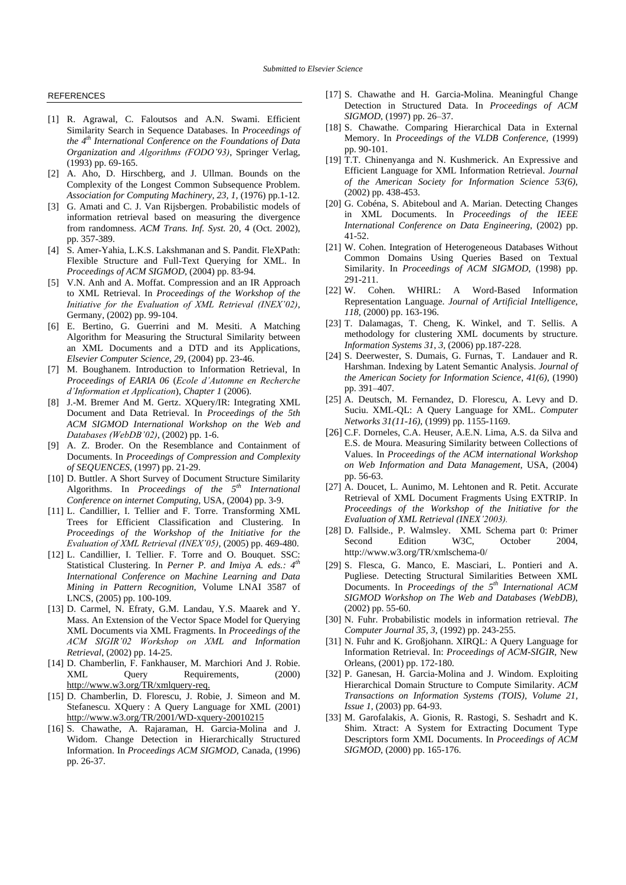#### **REFERENCES**

- <span id="page-22-10"></span>[1] R. Agrawal, C. Faloutsos and A.N. Swami. Efficient Similarity Search in Sequence Databases. In *Proceedings of the 4 th International Conference on the Foundations of Data Organization and Algorithms (FODO"93)*, Springer Verlag, (1993) pp. 69-165.
- <span id="page-22-8"></span>[2] A. Aho, D. Hirschberg, and J. Ullman. Bounds on the Complexity of the Longest Common Subsequence Problem. *Association for Computing Machinery, 23, 1,* (1976) pp.1-12.
- <span id="page-22-13"></span>[3] G. Amati and C. J. Van Rijsbergen. Probabilistic models of information retrieval based on measuring the divergence from randomness. *ACM Trans. Inf. Syst.* 20, 4 (Oct. 2002), pp. 357-389.
- <span id="page-22-19"></span>[4] S. Amer-Yahia, L.K.S. Lakshmanan and S. Pandit. FleXPath: Flexible Structure and Full-Text Querying for XML. In *Proceedings of ACM SIGMOD*, (2004) pp. 83-94.
- [5] V.N. Anh and A. Moffat. Compression and an IR Approach to XML Retrieval. In *Proceedings of the Workshop of the Initiative for the Evaluation of XML Retrieval (INEX"02)*, Germany, (2002) pp. 99-104.
- <span id="page-22-3"></span>[6] E. Bertino, G. Guerrini and M. Mesiti. A Matching Algorithm for Measuring the Structural Similarity between an XML Documents and a DTD and its Applications, *Elsevier Computer Science, 29*, (2004) pp. 23-46.
- <span id="page-22-9"></span>[7] M. Boughanem. Introduction to Information Retrieval, In *Proceedings of EARIA 06* (*Ecole d"Automne en Recherche d"Information et Application*), *Chapter 1* (2006).
- <span id="page-22-30"></span>[8] J.-M. Bremer And M. Gertz. XQuery/IR: Integrating XML Document and Data Retrieval. In *Proceedings of the 5th ACM SIGMOD International Workshop on the Web and Databases (WebDB"02)*, (2002) pp. 1-6.
- <span id="page-22-21"></span>[9] A. Z. Broder. On the Resemblance and Containment of Documents. In *Proceedings of Compression and Complexity of SEQUENCES*, (1997) pp. 21-29.
- <span id="page-22-20"></span>[10] D. Buttler. A Short Survey of Document Structure Similarity Algorithms. In *Proceedings of the 5th International Conference on internet Computing*, USA, (2004) pp. 3-9.
- <span id="page-22-22"></span>[11] L. Candillier, I. Tellier and F. Torre. Transforming XML Trees for Efficient Classification and Clustering. In *Proceedings of the Workshop of the Initiative for the Evaluation of XML Retrieval (INEX"05)*, (2005) pp. 469-480.
- <span id="page-22-23"></span>[12] L. Candillier, I. Tellier. F. Torre and O. Bouquet. SSC: Statistical Clustering. In *Perner P. and Imiya A. eds.: 4th International Conference on Machine Learning and Data Mining in Pattern Recognition*, Volume LNAI 3587 of LNCS, (2005) pp. 100-109.
- <span id="page-22-18"></span>[13] D. Carmel, N. Efraty, G.M. Landau, Y.S. Maarek and Y. Mass. An Extension of the Vector Space Model for Querying XML Documents via XML Fragments. In *Proceedings of the ACM SIGIR"02 Workshop on XML and Information Retrieval*, (2002) pp. 14-25.
- [14] D. Chamberlin, F. Fankhauser, M. Marchiori And J. Robie. XML Query Requirements, (2000) [http://www.w3.org/TR/xmlquery-req.](http://www.w3.org/TR/xmlquery-req)
- <span id="page-22-28"></span>[15] D. Chamberlin, D. Florescu, J. Robie, J. Simeon and M. Stefanescu. XQuery : A Query Language for XML (2001) http://www.w3.org/TR/2001/WD-xquery-20010215
- <span id="page-22-4"></span>[16] S. Chawathe, A. Rajaraman, H. Garcia-Molina and J. Widom. Change Detection in Hierarchically Structured Information. In *Proceedings ACM SIGMOD*, Canada, (1996) pp. 26-37.
- <span id="page-22-6"></span>[17] S. Chawathe and H. Garcia-Molina. Meaningful Change Detection in Structured Data. In *Proceedings of ACM SIGMOD*, (1997) pp. 26–37.
- <span id="page-22-7"></span>[18] S. Chawathe. Comparing Hierarchical Data in External Memory. In *Proceedings of the VLDB Conference,* (1999) pp. 90-101.
- <span id="page-22-14"></span>[19] T.T. Chinenyanga and N. Kushmerick. An Expressive and Efficient Language for XML Information Retrieval. *Journal of the American Society for Information Science 53(6)*, (2002) pp. 438-453.
- <span id="page-22-5"></span>[20] G. Cobéna, S. Abiteboul and A. Marian. Detecting Changes in XML Documents. In *Proceedings of the IEEE International Conference on Data Engineering*, (2002) pp. 41-52.
- <span id="page-22-15"></span>[21] W. Cohen. Integration of Heterogeneous Databases Without Common Domains Using Queries Based on Textual Similarity. In *Proceedings of ACM SIGMOD*, (1998) pp. 291-211.
- <span id="page-22-29"></span>[22] W. Cohen. WHIRL: A Word-Based Information Representation Language. *Journal of Artificial Intelligence, 118,* (2000) pp. 163-196.
- <span id="page-22-2"></span>[23] T. Dalamagas, T. Cheng, K. Winkel, and T. Sellis. A methodology for clustering XML documents by structure. *Information Systems 31, 3,* (2006) pp.187-228.
- <span id="page-22-12"></span>[24] S. Deerwester, S. Dumais, G. Furnas, T. Landauer and R. Harshman. Indexing by Latent Semantic Analysis. *Journal of the American Society for Information Science*, *41(6),* (1990) pp. 391–407.
- <span id="page-22-27"></span>[25] A. Deutsch, M. Fernandez, D. Florescu, A. Levy and D. Suciu. XML-QL: A Query Language for XML. *Computer Networks 31(11-16)*, (1999) pp. 1155-1169.
- <span id="page-22-25"></span>[26] C.F. Dorneles, C.A. Heuser, A.E.N. Lima, A.S. da Silva and E.S. de Moura. Measuring Similarity between Collections of Values. In *Proceedings of the ACM international Workshop on Web Information and Data Management*, USA, (2004) pp. 56-63.
- <span id="page-22-16"></span>[27] A. Doucet, L. Aunimo, M. Lehtonen and R. Petit. Accurate Retrieval of XML Document Fragments Using EXTRIP. In *Proceedings of the Workshop of the Initiative for the Evaluation of XML Retrieval (INEX"2003).*
- <span id="page-22-0"></span>[28] D. Fallside., P. Walmsley. XML Schema part 0: Primer Second Edition W3C, October 2004, http://www.w3.org/TR/xmlschema-0/
- <span id="page-22-24"></span>[29] S. Flesca, G. Manco, E. Masciari, L. Pontieri and A. Pugliese. Detecting Structural Similarities Between XML Documents. In *Proceedings of the 5th International ACM SIGMOD Workshop on The Web and Databases (WebDB)*, (2002) pp. 55-60.
- <span id="page-22-11"></span>[30] N. Fuhr. Probabilistic models in information retrieval. *The Computer Journal 35, 3*, (1992) pp. 243-255.
- <span id="page-22-1"></span>[31] N. Fuhr and K. Großjohann. XIRQL: A Query Language for Information Retrieval. In: *Proceedings of ACM-SIGIR*, New Orleans, (2001) pp. 172-180.
- <span id="page-22-17"></span>[32] P. Ganesan, H. Garcia-Molina and J. Windom. Exploiting Hierarchical Domain Structure to Compute Similarity. *ACM Transactions on Information Systems (TOIS)*, *Volume 21, Issue 1*, (2003) pp. 64-93.
- <span id="page-22-26"></span>[33] M. Garofalakis, A. Gionis, R. Rastogi, S. Seshadrt and K. Shim. Xtract: A System for Extracting Document Type Descriptors form XML Documents. In *Proceedings of ACM SIGMOD*, (2000) pp. 165-176.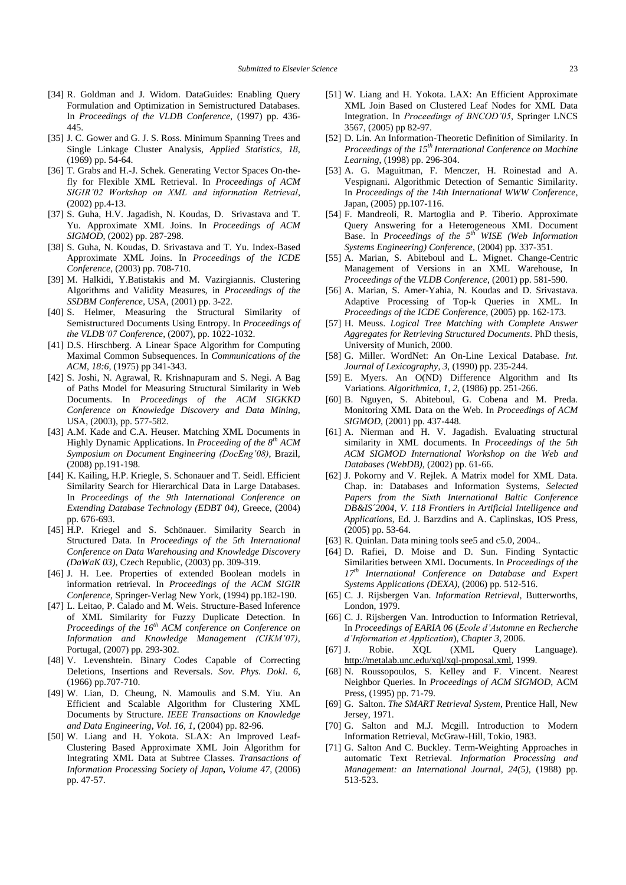- <span id="page-23-18"></span>[34] R. Goldman and J. Widom. DataGuides: Enabling Query Formulation and Optimization in Semistructured Databases. In *Proceedings of the VLDB Conference*, (1997) pp. 436- 445.
- [35] J. C. Gower and G. J. S. Ross. Minimum Spanning Trees and Single Linkage Cluster Analysis, *Applied Statistics, 18,*  (1969) pp. 54-64.
- <span id="page-23-6"></span>[36] T. Grabs and H.-J. Schek. Generating Vector Spaces On-thefly for Flexible XML Retrieval. In *Proceedings of ACM SIGIR"02 Workshop on XML and information Retrieval*, (2002) pp.4-13.
- <span id="page-23-1"></span>[37] S. Guha, H.V. Jagadish, N. Koudas, D. Srivastava and T. Yu. Approximate XML Joins. In *Proceedings of ACM SIGMOD*, (2002) pp. 287-298.
- <span id="page-23-28"></span>[38] S. Guha, N. Koudas, D. Srivastava and T. Yu. Index-Based Approximate XML Joins. In *Proceedings of the ICDE Conference*, (2003) pp. 708-710.
- [39] M. Halkidi, Y.Batistakis and M. Vazirgiannis. Clustering Algorithms and Validity Measures, in *Proceedings of the SSDBM Conference*, USA, (2001) pp. 3-22.
- <span id="page-23-24"></span>[40] S. Helmer, Measuring the Structural Similarity of Semistructured Documents Using Entropy. In *Proceedings of the VLDB"07 Conference*, (2007), pp. 1022-1032.
- <span id="page-23-16"></span>[41] D.S. Hirschberg. A Linear Space Algorithm for Computing Maximal Common Subsequences. In *Communications of the ACM*, *18:6,* (1975) pp 341-343.
- <span id="page-23-22"></span>[42] S. Joshi, N. Agrawal, R. Krishnapuram and S. Negi. A Bag of Paths Model for Measuring Structural Similarity in Web Documents. In *Proceedings of the ACM SIGKKD Conference on Knowledge Discovery and Data Mining*, USA, (2003), pp. 577-582.
- <span id="page-23-25"></span>[43] A.M. Kade and C.A. Heuser. Matching XML Documents in Highly Dynamic Applications. In *Proceeding of the 8 th ACM Symposium on Document Engineering (DocEng"08)*, Brazil, (2008) pp.191-198.
- [44] K. Kailing, H.P. Kriegle, S. Schonauer and T. Seidl. Efficient Similarity Search for Hierarchical Data in Large Databases. In *Proceedings of the 9th International Conference on Extending Database Technology (EDBT 04)*, Greece, (2004) pp. 676-693.
- <span id="page-23-19"></span>[45] H.P. Kriegel and S. Schönauer. Similarity Search in Structured Data. In *Proceedings of the 5th International Conference on Data Warehousing and Knowledge Discovery (DaWaK 03)*, Czech Republic, (2003) pp. 309-319.
- <span id="page-23-11"></span>[46] J. H. Lee. Properties of extended Boolean models in information retrieval. In *Proceedings of the ACM SIGIR Conference,* Springer-Verlag New York, (1994) pp.182-190.
- <span id="page-23-3"></span>[47] L. Leitao, P. Calado and M. Weis. Structure-Based Inference of XML Similarity for Fuzzy Duplicate Detection. In *Proceedings of the 16th ACM conference on Conference on Information and Knowledge Management (CIKM"07)*, Portugal, (2007) pp. 293-302.
- <span id="page-23-4"></span>[48] V. Levenshtein. Binary Codes Capable of Correcting Deletions, Insertions and Reversals. *Sov. Phys. Dokl*. *6*, (1966) pp.707-710.
- <span id="page-23-20"></span>[49] W. Lian, D. Cheung, N. Mamoulis and S.M. Yiu. An Efficient and Scalable Algorithm for Clustering XML Documents by Structure. *IEEE Transactions on Knowledge and Data Engineering*, *Vol. 16, 1*, (2004) pp. 82-96.
- <span id="page-23-29"></span>[50] W. Liang and H. Yokota. SLAX: An Improved Leaf-Clustering Based Approximate XML Join Algorithm for Integrating XML Data at Subtree Classes. *Transactions of Information Processing Society of Japan, Volume 47,* (2006) pp. 47-57.
- <span id="page-23-2"></span>[51] W. Liang and H. Yokota. LAX: An Efficient Approximate XML Join Based on Clustered Leaf Nodes for XML Data Integration. In *Proceedings of BNCOD"05*, Springer LNCS 3567, (2005) pp 82-97.
- <span id="page-23-12"></span>[52] D. Lin. An Information-Theoretic Definition of Similarity. In *Proceedings of the 15th International Conference on Machine Learning*, (1998) pp. 296-304.
- <span id="page-23-31"></span>[53] A. G. Maguitman, F. Menczer, H. Roinestad and A. Vespignani. Algorithmic Detection of Semantic Similarity. In *Proceedings of the 14th International WWW Conference*, Japan, (2005) pp.107-116.
- [54] F. Mandreoli, R. Martoglia and P. Tiberio. Approximate Query Answering for a Heterogeneous XML Document Base. In *Proceedings of the 5th WISE (Web Information Systems Engineering) Conference*, (2004) pp. 337-351.
- <span id="page-23-26"></span>[55] A. Marian, S. Abiteboul and L. Mignet. Change-Centric Management of Versions in an XML Warehouse, In *Proceedings of* the *VLDB Conference*, (2001) pp. 581-590.
- <span id="page-23-15"></span>[56] A. Marian, S. Amer-Yahia, N. Koudas and D. Srivastava. Adaptive Processing of Top-k Queries in XML. In *Proceedings of the ICDE Conference*, (2005) pp. 162-173.
- <span id="page-23-17"></span>[57] H. Meuss. *Logical Tree Matching with Complete Answer Aggregates for Retrieving Structured Documents*. PhD thesis, University of Munich, 2000.
- <span id="page-23-32"></span>[58] G. Miller. WordNet: An On-Line Lexical Database. *Int. Journal of Lexicography, 3,* (1990) pp. 235-244.
- <span id="page-23-5"></span>[59] E. Myers. An O(ND) Difference Algorithm and Its Variations. *Algorithmica*, *1, 2*, (1986) pp. 251-266.
- <span id="page-23-27"></span>[60] B. Nguyen, S. Abiteboul, G. Cobena and M. Preda. Monitoring XML Data on the Web. In *Proceedings of ACM SIGMOD*, (2001) pp. 437-448.
- <span id="page-23-0"></span>[61] A. Nierman and H. V. Jagadish. Evaluating structural similarity in XML documents. In *Proceedings of the 5th ACM SIGMOD International Workshop on the Web and Databases (WebDB)*, (2002) pp. 61-66.
- <span id="page-23-14"></span>[62] J. Pokorny and V. Rejlek. A Matrix model for XML Data. Chap. in: Databases and Information Systems, *Selected Papers from the Sixth International Baltic Conference DB&IS´2004*, *V. 118 Frontiers in Artificial Intelligence and Applications*, Ed. J. Barzdins and A. Caplinskas, IOS Press, (2005) pp. 53-64.
- <span id="page-23-23"></span>[63] R. Quinlan. Data mining tools see5 and c5.0, 2004..
- <span id="page-23-21"></span>[64] D. Rafiei, D. Moise and D. Sun. Finding Syntactic Similarities between XML Documents. In *Proceedings of the 17th International Conference on [Database and Expert](http://ieeexplore.ieee.org/xpl/RecentCon.jsp?punumber=11152)  [Systems Applications \(DEXA\)](http://ieeexplore.ieee.org/xpl/RecentCon.jsp?punumber=11152),* (2006) pp*.* 512-516.
- <span id="page-23-8"></span>[65] C. J. Rijsbergen Van. *Information Retrieval*, Butterworths, London, 1979.
- [66] C. J. Rijsbergen Van. Introduction to Information Retrieval, In *Proceedings of EARIA 06* (*Ecole d"Automne en Recherche d"Information et Application*), *Chapter 3*, 2006.
- <span id="page-23-30"></span>[67] J. Robie. XQL (XML Query Language). [http://metalab.unc.edu/xql/xql-proposal.xml,](http://metalab.unc.edu/xql/xql-proposal.xml) 1999.
- <span id="page-23-9"></span>[68] N. Roussopoulos, S. Kelley and F. Vincent. Nearest Neighbor Queries. In *Proceedings of ACM SIGMOD*, ACM Press, (1995) pp. 71-79.
- <span id="page-23-7"></span>[69] G. Salton. *The SMART Retrieval System*, Prentice Hall, New Jersey, 1971.
- <span id="page-23-10"></span>[70] G. Salton and M.J. Mcgill. Introduction to Modern Information Retrieval, McGraw-Hill, Tokio, 1983.
- <span id="page-23-13"></span>[71] G. Salton And C. Buckley. Term-Weighting Approaches in automatic Text Retrieval. *Information Processing and Management: an International Journal*, *24(5),* (1988) pp. 513-523.